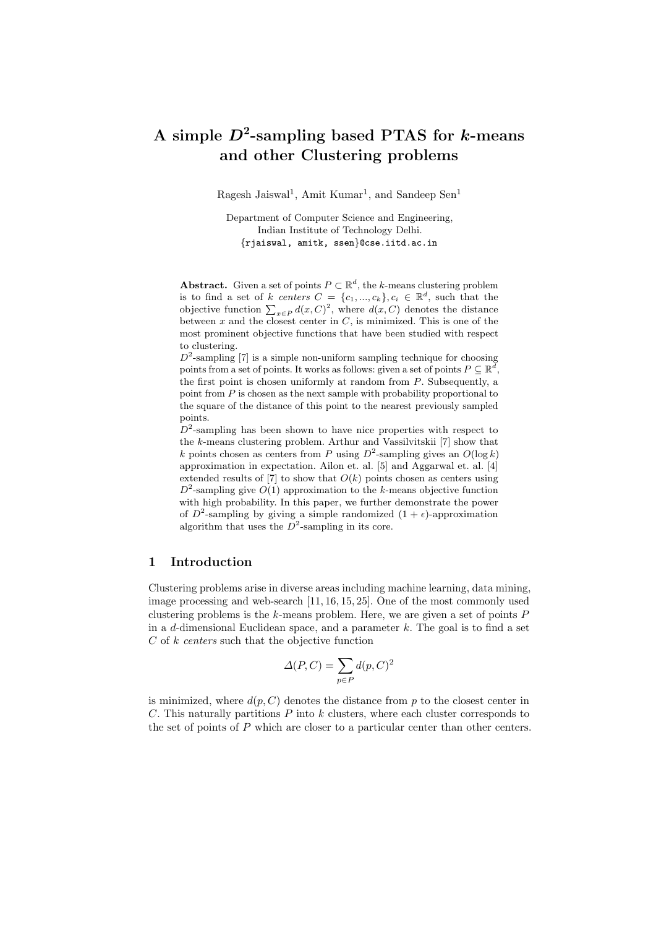# A simple  $D^2$ -sampling based PTAS for k-means and other Clustering problems

Ragesh Jaiswal<sup>1</sup>, Amit Kumar<sup>1</sup>, and Sandeep Sen<sup>1</sup>

Department of Computer Science and Engineering, Indian Institute of Technology Delhi. {rjaiswal, amitk, ssen}@cse.iitd.ac.in

**Abstract.** Given a set of points  $P \subset \mathbb{R}^d$ , the k-means clustering problem is to find a set of k centers  $C = \{c_1, ..., c_k\}$ ,  $c_i \in \mathbb{R}^d$ , such that the objective function  $\sum_{x \in P} d(x, C)^2$ , where  $d(x, C)$  denotes the distance between x and the closest center in  $C$ , is minimized. This is one of the most prominent objective functions that have been studied with respect to clustering.

 $D^2$ -sampling [7] is a simple non-uniform sampling technique for choosing points from a set of points. It works as follows: given a set of points  $P \subseteq \mathbb{R}^d$ , the first point is chosen uniformly at random from  $P$ . Subsequently, a point from  $P$  is chosen as the next sample with probability proportional to the square of the distance of this point to the nearest previously sampled points.

 $D^2$ -sampling has been shown to have nice properties with respect to the k-means clustering problem. Arthur and Vassilvitskii [7] show that k points chosen as centers from P using  $D^2$ -sampling gives an  $O(\log k)$ approximation in expectation. Ailon et. al. [5] and Aggarwal et. al. [4] extended results of [7] to show that  $O(k)$  points chosen as centers using  $D^2$ -sampling give  $O(1)$  approximation to the k-means objective function with high probability. In this paper, we further demonstrate the power of  $D^2$ -sampling by giving a simple randomized  $(1 + \epsilon)$ -approximation algorithm that uses the  $D^2$ -sampling in its core.

### 1 Introduction

Clustering problems arise in diverse areas including machine learning, data mining, image processing and web-search [11, 16, 15, 25]. One of the most commonly used clustering problems is the k-means problem. Here, we are given a set of points  $P$ in a d-dimensional Euclidean space, and a parameter  $k$ . The goal is to find a set  $C$  of  $k$  centers such that the objective function

$$
\Delta(P, C) = \sum_{p \in P} d(p, C)^2
$$

is minimized, where  $d(p, C)$  denotes the distance from p to the closest center in C. This naturally partitions  $P$  into k clusters, where each cluster corresponds to the set of points of  $P$  which are closer to a particular center than other centers.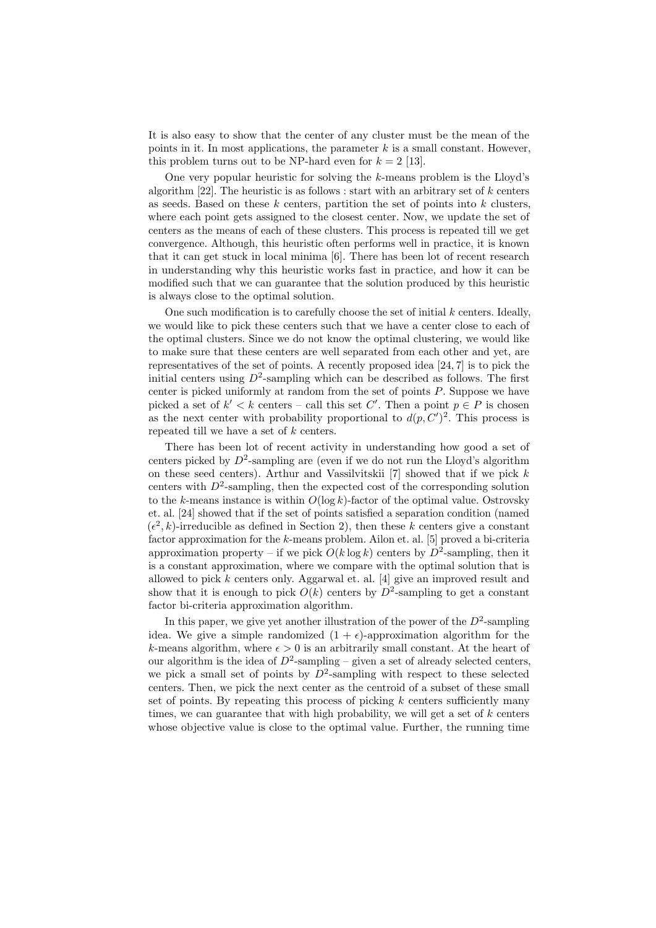It is also easy to show that the center of any cluster must be the mean of the points in it. In most applications, the parameter  $k$  is a small constant. However, this problem turns out to be NP-hard even for  $k = 2$  [13].

One very popular heuristic for solving the  $k$ -means problem is the Lloyd's algorithm  $[22]$ . The heuristic is as follows : start with an arbitrary set of k centers as seeds. Based on these  $k$  centers, partition the set of points into  $k$  clusters, where each point gets assigned to the closest center. Now, we update the set of centers as the means of each of these clusters. This process is repeated till we get convergence. Although, this heuristic often performs well in practice, it is known that it can get stuck in local minima [6]. There has been lot of recent research in understanding why this heuristic works fast in practice, and how it can be modified such that we can guarantee that the solution produced by this heuristic is always close to the optimal solution.

One such modification is to carefully choose the set of initial  $k$  centers. Ideally, we would like to pick these centers such that we have a center close to each of the optimal clusters. Since we do not know the optimal clustering, we would like to make sure that these centers are well separated from each other and yet, are representatives of the set of points. A recently proposed idea [24, 7] is to pick the initial centers using  $D^2$ -sampling which can be described as follows. The first center is picked uniformly at random from the set of points P. Suppose we have picked a set of  $k' < k$  centers – call this set C'. Then a point  $p \in P$  is chosen as the next center with probability proportional to  $d(p, C')^2$ . This process is repeated till we have a set of k centers.

There has been lot of recent activity in understanding how good a set of centers picked by  $D^2$ -sampling are (even if we do not run the Lloyd's algorithm on these seed centers). Arthur and Vassilvitskii  $[7]$  showed that if we pick k centers with  $D^2$ -sampling, then the expected cost of the corresponding solution to the k-means instance is within  $O(\log k)$ -factor of the optimal value. Ostrovsky et. al. [24] showed that if the set of points satisfied a separation condition (named  $(\epsilon^2, k)$ -irreducible as defined in Section 2), then these k centers give a constant factor approximation for the k-means problem. Ailon et. al. [5] proved a bi-criteria approximation property – if we pick  $O(k \log k)$  centers by  $D^2$ -sampling, then it is a constant approximation, where we compare with the optimal solution that is allowed to pick k centers only. Aggarwal et. al. [4] give an improved result and show that it is enough to pick  $O(k)$  centers by  $D^2$ -sampling to get a constant factor bi-criteria approximation algorithm.

In this paper, we give yet another illustration of the power of the  $D^2$ -sampling idea. We give a simple randomized  $(1 + \epsilon)$ -approximation algorithm for the k-means algorithm, where  $\epsilon > 0$  is an arbitrarily small constant. At the heart of our algorithm is the idea of  $D^2$ -sampling – given a set of already selected centers, we pick a small set of points by  $D^2$ -sampling with respect to these selected centers. Then, we pick the next center as the centroid of a subset of these small set of points. By repeating this process of picking  $k$  centers sufficiently many times, we can guarantee that with high probability, we will get a set of  $k$  centers whose objective value is close to the optimal value. Further, the running time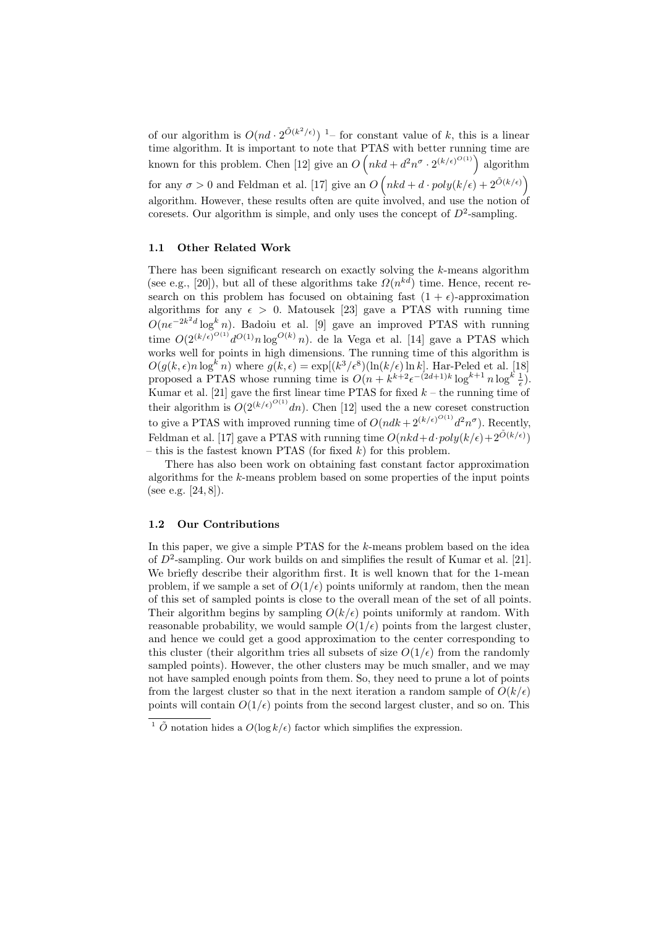of our algorithm is  $O(nd \cdot 2^{\tilde{O}(k^2/\epsilon)})$  1– for constant value of k, this is a linear time algorithm. It is important to note that PTAS with better running time are known for this problem. Chen [12] give an  $O(nkd + d^2n^{\sigma} \cdot 2^{(k/\epsilon)^{O(1)}})$  algorithm for any  $\sigma > 0$  and Feldman et al. [17] give an  $O(nkd + d \cdot poly(k/\epsilon) + 2^{\tilde{O}(k/\epsilon)})$ algorithm. However, these results often are quite involved, and use the notion of coresets. Our algorithm is simple, and only uses the concept of  $D^2$ -sampling.

#### 1.1 Other Related Work

There has been significant research on exactly solving the  $k$ -means algorithm (see e.g., [20]), but all of these algorithms take  $\Omega(n^{kd})$  time. Hence, recent research on this problem has focused on obtaining fast  $(1 + \epsilon)$ -approximation algorithms for any  $\epsilon > 0$ . Matousek [23] gave a PTAS with running time  $O(n\epsilon^{-2k^2d}\log^k n)$ . Badoiu et al. [9] gave an improved PTAS with running time  $O(2^{(k/\epsilon)^{O(1)}} d^{O(1)} n \log^{O(k)} n)$ . de la Vega et al. [14] gave a PTAS which works well for points in high dimensions. The running time of this algorithm is  $O(g(k, \epsilon)n \log^k n)$  where  $g(k, \epsilon) = \exp[(k^3/\epsilon^8)(\ln(k/\epsilon) \ln k]$ . Har-Peled et al. [18] proposed a PTAS whose running time is  $O(n + k^{k+2} \epsilon^{-(2d+1)k} \log^{k+1} n \log^k \frac{1}{\epsilon})$ . Kumar et al. [21] gave the first linear time PTAS for fixed  $k$  – the running time of their algorithm is  $O(2^{(k/\epsilon)^{O(1)}}dn)$ . Chen [12] used the a new coreset construction to give a PTAS with improved running time of  $O(ndk + 2^{(k/\epsilon)^{O(1)}}d^2n^{\sigma})$ . Recently, Feldman et al. [17] gave a PTAS with running time  $O(nkd + d \cdot poly(k/\epsilon) + 2^{\tilde{O}(k/\epsilon)})$ – this is the fastest known PTAS (for fixed  $k$ ) for this problem.

There has also been work on obtaining fast constant factor approximation algorithms for the k-means problem based on some properties of the input points (see e.g. [24, 8]).

#### 1.2 Our Contributions

In this paper, we give a simple PTAS for the k-means problem based on the idea of  $D^2$ -sampling. Our work builds on and simplifies the result of Kumar et al. [21]. We briefly describe their algorithm first. It is well known that for the 1-mean problem, if we sample a set of  $O(1/\epsilon)$  points uniformly at random, then the mean of this set of sampled points is close to the overall mean of the set of all points. Their algorithm begins by sampling  $O(k/\epsilon)$  points uniformly at random. With reasonable probability, we would sample  $O(1/\epsilon)$  points from the largest cluster, and hence we could get a good approximation to the center corresponding to this cluster (their algorithm tries all subsets of size  $O(1/\epsilon)$  from the randomly sampled points). However, the other clusters may be much smaller, and we may not have sampled enough points from them. So, they need to prune a lot of points from the largest cluster so that in the next iteration a random sample of  $O(k/\epsilon)$ points will contain  $O(1/\epsilon)$  points from the second largest cluster, and so on. This

 $1 \tilde{O}$  notation hides a  $O(\log k/\epsilon)$  factor which simplifies the expression.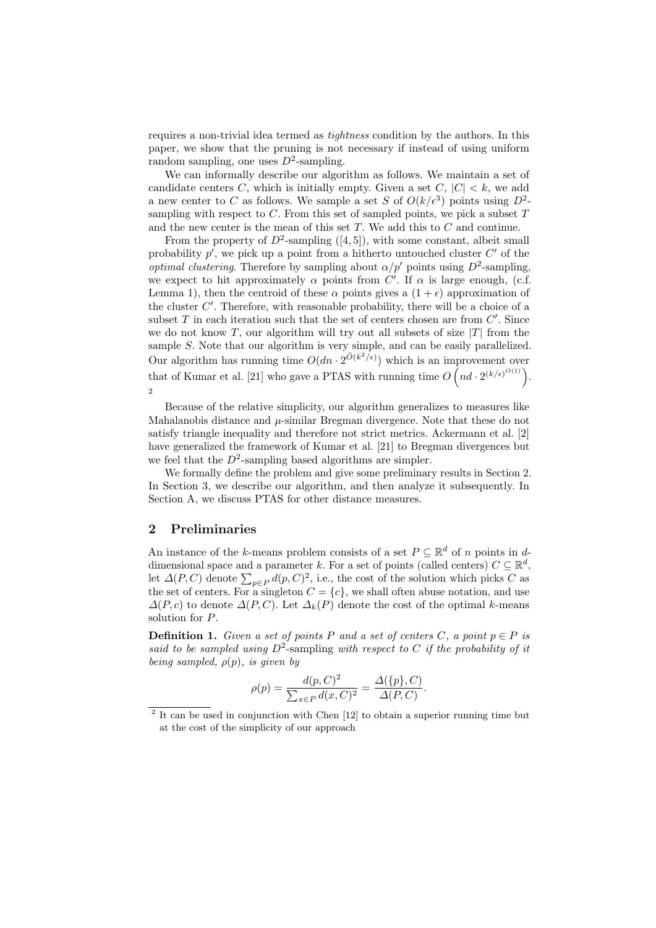requires a non-trivial idea termed as tightness condition by the authors. In this paper, we show that the pruning is not necessary if instead of using uniform random sampling, one uses  $D^2$ -sampling.

We can informally describe our algorithm as follows. We maintain a set of candidate centers C, which is initially empty. Given a set  $C, |C| < k$ , we add a new center to C as follows. We sample a set S of  $O(k/\epsilon^3)$  points using  $D^2$ sampling with respect to  $C$ . From this set of sampled points, we pick a subset  $T$ and the new center is the mean of this set  $T$ . We add this to  $C$  and continue.

From the property of  $D^2$ -sampling ([4, 5]), with some constant, albeit small probability  $p'$ , we pick up a point from a hitherto untouched cluster  $C'$  of the *optimal clustering*. Therefore by sampling about  $\alpha/p'$  points using  $D^2$ -sampling, we expect to hit approximately  $\alpha$  points from C'. If  $\alpha$  is large enough, (c.f. Lemma 1), then the centroid of these  $\alpha$  points gives a  $(1 + \epsilon)$  approximation of the cluster  $C'$ . Therefore, with reasonable probability, there will be a choice of a subset  $T$  in each iteration such that the set of centers chosen are from  $C'$ . Since we do not know T, our algorithm will try out all subsets of size  $|T|$  from the sample S. Note that our algorithm is very simple, and can be easily parallelized. Our algorithm has running time  $O(dn \cdot 2^{\tilde{O}(k^2/\epsilon)})$  which is an improvement over that of Kumar et al. [21] who gave a PTAS with running time  $O(n d \cdot 2^{(k/\epsilon)^{O(1)}})$ . 2

Because of the relative simplicity, our algorithm generalizes to measures like Mahalanobis distance and  $\mu$ -similar Bregman divergence. Note that these do not satisfy triangle inequality and therefore not strict metrics. Ackermann et al. [2] have generalized the framework of Kumar et al. [21] to Bregman divergences but we feel that the  $D^2$ -sampling based algorithms are simpler.

We formally define the problem and give some preliminary results in Section 2. In Section 3, we describe our algorithm, and then analyze it subsequently. In Section A, we discuss PTAS for other distance measures.

# 2 Preliminaries

An instance of the k-means problem consists of a set  $P \subseteq \mathbb{R}^d$  of n points in ddimensional space and a parameter k. For a set of points (called centers)  $C \subseteq \mathbb{R}^d$ , let  $\Delta(P, C)$  denote  $\sum_{p \in P} d(p, C)^2$ , i.e., the cost of the solution which picks C as the set of centers. For a singleton  $C = \{c\}$ , we shall often abuse notation, and use  $\Delta(P, c)$  to denote  $\Delta(P, C)$ . Let  $\Delta_k(P)$  denote the cost of the optimal k-means solution for P.

**Definition 1.** Given a set of points P and a set of centers C, a point  $p \in P$  is said to be sampled using  $D^2$ -sampling with respect to C if the probability of it being sampled,  $\rho(p)$ , is given by

$$
\rho(p) = \frac{d(p, C)^2}{\sum_{x \in P} d(x, C)^2} = \frac{\Delta(\{p\}, C)}{\Delta(P, C)}.
$$

<sup>&</sup>lt;sup>2</sup> It can be used in conjunction with Chen [12] to obtain a superior running time but at the cost of the simplicity of our approach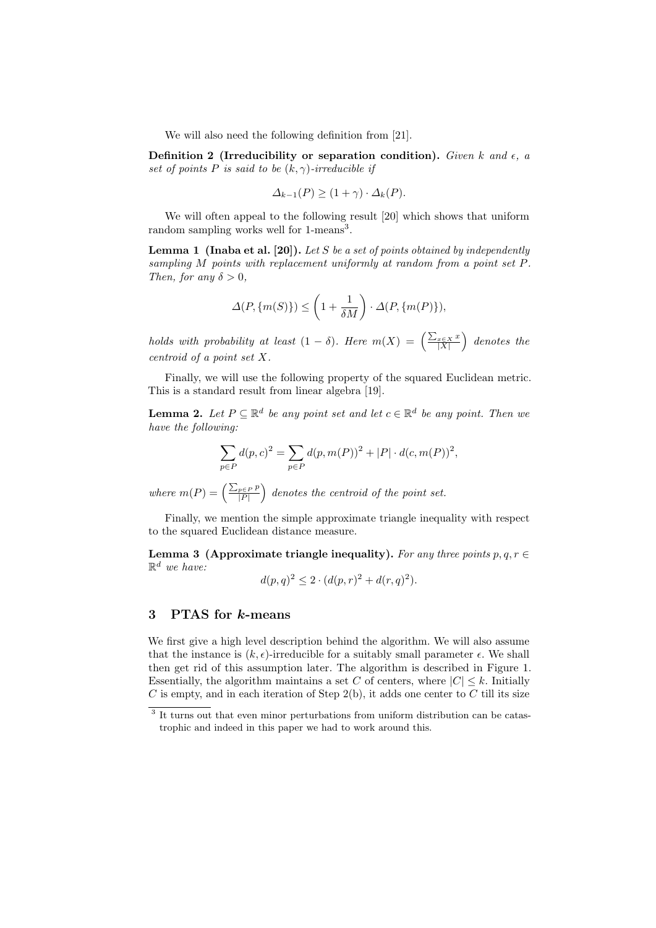We will also need the following definition from [21].

Definition 2 (Irreducibility or separation condition). Given k and  $\epsilon$ , a set of points P is said to be  $(k, \gamma)$ -irreducible if

$$
\Delta_{k-1}(P) \ge (1+\gamma) \cdot \Delta_k(P).
$$

We will often appeal to the following result [20] which shows that uniform random sampling works well for 1-means<sup>3</sup>.

**Lemma 1** (Inaba et al. [20]). Let S be a set of points obtained by independently sampling M points with replacement uniformly at random from a point set P. Then, for any  $\delta > 0$ ,

$$
\Delta(P, \{m(S)\}) \le \left(1 + \frac{1}{\delta M}\right) \cdot \Delta(P, \{m(P)\}),
$$

holds with probability at least  $(1 - \delta)$ . Here  $m(X) = \left(\frac{\sum_{x \in X} x}{|X|}\right)$  denotes the centroid of a point set X.

Finally, we will use the following property of the squared Euclidean metric. This is a standard result from linear algebra [19].

**Lemma 2.** Let  $P \subseteq \mathbb{R}^d$  be any point set and let  $c \in \mathbb{R}^d$  be any point. Then we have the following:

$$
\sum_{p \in P} d(p, c)^2 = \sum_{p \in P} d(p, m(P))^2 + |P| \cdot d(c, m(P))^2,
$$

where  $m(P) = \left(\frac{\sum_{p \in P} p}{|P|}\right)$  $\frac{p\in P|P}{|P|}$  denotes the centroid of the point set.

Finally, we mention the simple approximate triangle inequality with respect to the squared Euclidean distance measure.

Lemma 3 (Approximate triangle inequality). For any three points  $p, q, r \in$  $\mathbb{R}^d$  we have:

$$
d(p,q)^{2} \le 2 \cdot (d(p,r)^{2} + d(r,q)^{2}).
$$

# 3 PTAS for k-means

We first give a high level description behind the algorithm. We will also assume that the instance is  $(k, \epsilon)$ -irreducible for a suitably small parameter  $\epsilon$ . We shall then get rid of this assumption later. The algorithm is described in Figure 1. Essentially, the algorithm maintains a set C of centers, where  $|C| \leq k$ . Initially  $C$  is empty, and in each iteration of Step 2(b), it adds one center to  $C$  till its size

<sup>&</sup>lt;sup>3</sup> It turns out that even minor perturbations from uniform distribution can be catastrophic and indeed in this paper we had to work around this.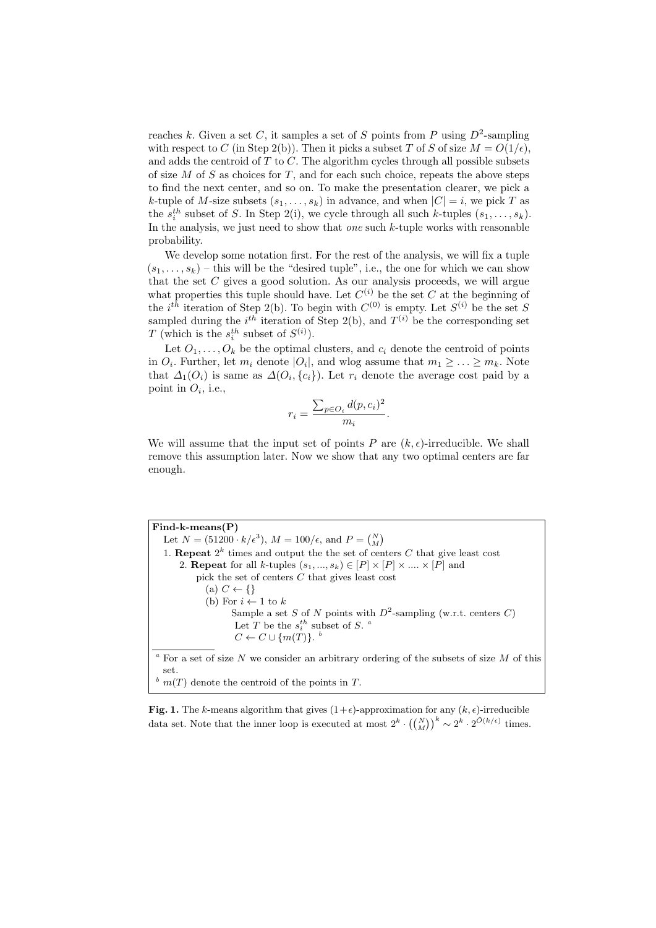reaches k. Given a set C, it samples a set of S points from P using  $D^2$ -sampling with respect to C (in Step 2(b)). Then it picks a subset T of S of size  $M = O(1/\epsilon)$ . and adds the centroid of  $T$  to  $C$ . The algorithm cycles through all possible subsets of size  $M$  of  $S$  as choices for  $T$ , and for each such choice, repeats the above steps to find the next center, and so on. To make the presentation clearer, we pick a k-tuple of M-size subsets  $(s_1, \ldots, s_k)$  in advance, and when  $|C| = i$ , we pick T as the  $s_i^{th}$  subset of S. In Step 2(i), we cycle through all such k-tuples  $(s_1, \ldots, s_k)$ . In the analysis, we just need to show that *one* such  $k$ -tuple works with reasonable probability.

We develop some notation first. For the rest of the analysis, we will fix a tuple  $(s_1, \ldots, s_k)$  – this will be the "desired tuple", i.e., the one for which we can show that the set  $C$  gives a good solution. As our analysis proceeds, we will argue what properties this tuple should have. Let  $C^{(i)}$  be the set C at the beginning of the *i*<sup>th</sup> iteration of Step 2(b). To begin with  $C^{(0)}$  is empty. Let  $S^{(i)}$  be the set S sampled during the *i*<sup>th</sup> iteration of Step 2(b), and  $T^{(i)}$  be the corresponding set T (which is the  $s_i^{th}$  subset of  $S^{(i)}$ ).

Let  $O_1, \ldots, O_k$  be the optimal clusters, and  $c_i$  denote the centroid of points in  $O_i$ . Further, let  $m_i$  denote  $|O_i|$ , and wlog assume that  $m_1 \geq \ldots \geq m_k$ . Note that  $\Delta_1(O_i)$  is same as  $\Delta(O_i, \{c_i\})$ . Let  $r_i$  denote the average cost paid by a point in  $O_i$ , i.e.,

$$
r_i = \frac{\sum_{p \in O_i} d(p, c_i)^2}{m_i}.
$$

We will assume that the input set of points P are  $(k, \epsilon)$ -irreducible. We shall remove this assumption later. Now we show that any two optimal centers are far enough.

Find-k-means(P) Let  $N = (51200 \cdot k/\epsilon^3)$ ,  $M = 100/\epsilon$ , and  $P = {N \choose M}$ 1. **Repeat**  $2^k$  times and output the the set of centers C that give least cost 2. **Repeat** for all k-tuples  $(s_1, ..., s_k) \in [P] \times [P] \times ... \times [P]$  and pick the set of centers C that gives least cost (a)  $C \leftarrow \{\}$ (b) For  $i \leftarrow 1$  to k Sample a set S of N points with  $D^2$ -sampling (w.r.t. centers C) Let T be the  $s_i^{th}$  subset of S.<sup>*a*</sup>  $C \leftarrow C \cup \{m(T)\}\text{.}$ <sup>b</sup>  $\degree$  For a set of size  $N$  we consider an arbitrary ordering of the subsets of size  $M$  of this set.  $\frac{b}{m(T)}$  denote the centroid of the points in T.

Fig. 1. The k-means algorithm that gives  $(1+\epsilon)$ -approximation for any  $(k, \epsilon)$ -irreducible data set. Note that the inner loop is executed at most  $2^k \cdot \left( {N \choose M} \right)^k \sim 2^k \cdot 2^{\tilde{O}(k/\epsilon)}$  times.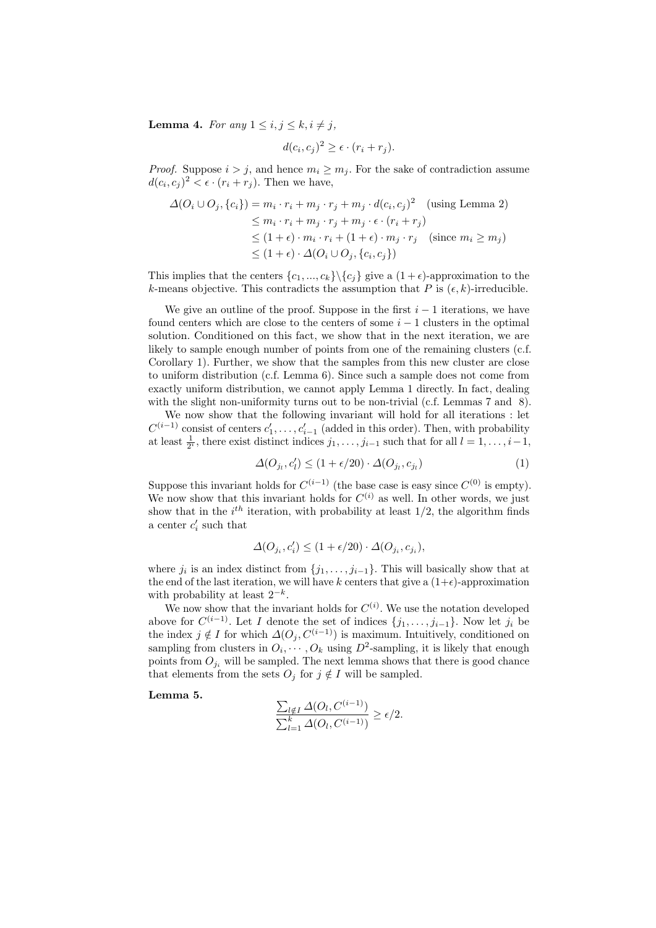**Lemma 4.** For any  $1 \leq i, j \leq k, i \neq j$ ,

$$
d(c_i, c_j)^2 \ge \epsilon \cdot (r_i + r_j).
$$

*Proof.* Suppose  $i > j$ , and hence  $m_i \geq m_j$ . For the sake of contradiction assume  $d(c_i, c_j)^2 < \epsilon \cdot (r_i + r_j)$ . Then we have,

$$
\Delta(O_i \cup O_j, \{c_i\}) = m_i \cdot r_i + m_j \cdot r_j + m_j \cdot d(c_i, c_j)^2 \quad \text{(using Lemma 2)}
$$
\n
$$
\leq m_i \cdot r_i + m_j \cdot r_j + m_j \cdot \epsilon \cdot (r_i + r_j)
$$
\n
$$
\leq (1 + \epsilon) \cdot m_i \cdot r_i + (1 + \epsilon) \cdot m_j \cdot r_j \quad \text{(since } m_i \geq m_j)
$$
\n
$$
\leq (1 + \epsilon) \cdot \Delta(O_i \cup O_j, \{c_i, c_j\})
$$

This implies that the centers  $\{c_1, ..., c_k\} \backslash \{c_j\}$  give a  $(1 + \epsilon)$ -approximation to the k-means objective. This contradicts the assumption that P is  $(\epsilon, k)$ -irreducible.

We give an outline of the proof. Suppose in the first  $i - 1$  iterations, we have found centers which are close to the centers of some  $i - 1$  clusters in the optimal solution. Conditioned on this fact, we show that in the next iteration, we are likely to sample enough number of points from one of the remaining clusters (c.f. Corollary 1). Further, we show that the samples from this new cluster are close to uniform distribution (c.f. Lemma 6). Since such a sample does not come from exactly uniform distribution, we cannot apply Lemma 1 directly. In fact, dealing with the slight non-uniformity turns out to be non-trivial (c.f. Lemmas 7 and 8).

We now show that the following invariant will hold for all iterations : let  $C^{(i-1)}$  consist of centers  $c'_1, \ldots, c'_{i-1}$  (added in this order). Then, with probability at least  $\frac{1}{2^i}$ , there exist distinct indices  $j_1, \ldots, j_{i-1}$  such that for all  $l = 1, \ldots, i-1$ ,

$$
\Delta(O_{j_l}, c'_l) \le (1 + \epsilon/20) \cdot \Delta(O_{j_l}, c_{j_l}) \tag{1}
$$

Suppose this invariant holds for  $C^{(i-1)}$  (the base case is easy since  $C^{(0)}$  is empty). We now show that this invariant holds for  $C^{(i)}$  as well. In other words, we just show that in the  $i^{th}$  iteration, with probability at least  $1/2$ , the algorithm finds a center  $c_i'$  such that

$$
\varDelta(O_{j_i},c_i')\leq (1+\epsilon/20)\cdot \varDelta(O_{j_i},c_{j_i}),
$$

where  $j_i$  is an index distinct from  $\{j_1, \ldots, j_{i-1}\}$ . This will basically show that at the end of the last iteration, we will have k centers that give a  $(1+\epsilon)$ -approximation with probability at least  $2^{-k}$ .

We now show that the invariant holds for  $C^{(i)}$ . We use the notation developed above for  $C^{(i-1)}$ . Let I denote the set of indices  $\{j_1, \ldots, j_{i-1}\}$ . Now let  $j_i$  be the index  $j \notin I$  for which  $\Delta(O_i, C^{(i-1)})$  is maximum. Intuitively, conditioned on sampling from clusters in  $O_i, \dots, O_k$  using  $D^2$ -sampling, it is likely that enough points from  $O_{j_i}$  will be sampled. The next lemma shows that there is good chance that elements from the sets  $O_i$  for  $j \notin I$  will be sampled.

Lemma 5.

$$
\frac{\sum_{l \notin I} \Delta(O_l, C^{(i-1)})}{\sum_{l=1}^k \Delta(O_l, C^{(i-1)})} \ge \epsilon/2.
$$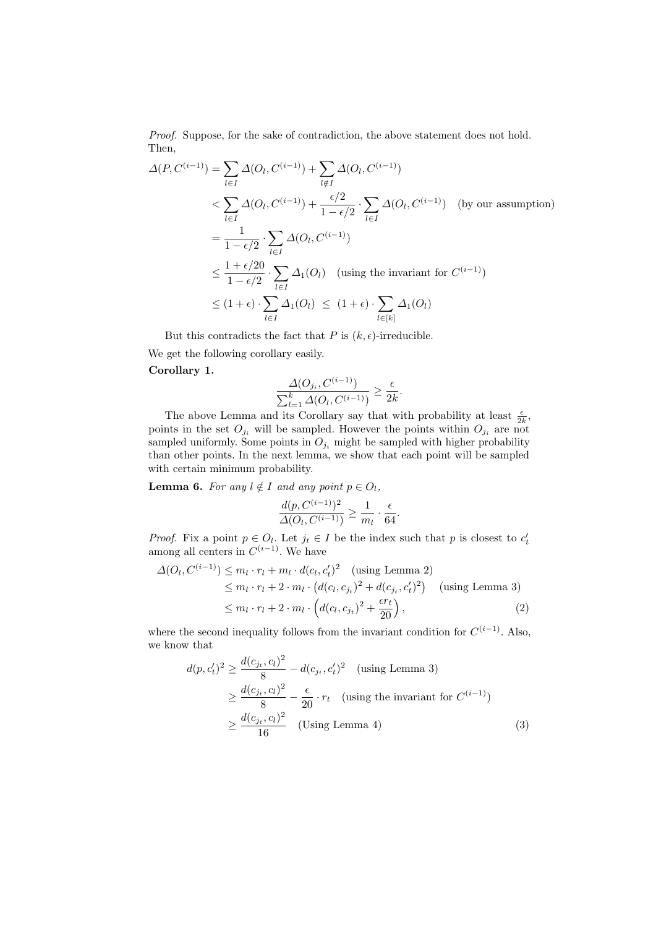Proof. Suppose, for the sake of contradiction, the above statement does not hold. Then,

$$
\Delta(P, C^{(i-1)}) = \sum_{l \in I} \Delta(O_l, C^{(i-1)}) + \sum_{l \notin I} \Delta(O_l, C^{(i-1)})
$$
  

$$
< \sum_{l \in I} \Delta(O_l, C^{(i-1)}) + \frac{\epsilon/2}{1 - \epsilon/2} \cdot \sum_{l \in I} \Delta(O_l, C^{(i-1)}) \quad \text{(by our assumption)}
$$
  

$$
= \frac{1}{1 - \epsilon/2} \cdot \sum_{l \in I} \Delta(O_l, C^{(i-1)})
$$
  

$$
\leq \frac{1 + \epsilon/20}{1 - \epsilon/2} \cdot \sum_{l \in I} \Delta_1(O_l) \quad \text{(using the invariant for } C^{(i-1)})
$$
  

$$
\leq (1 + \epsilon) \cdot \sum_{l \in I} \Delta_1(O_l) \leq (1 + \epsilon) \cdot \sum_{l \in [k]} \Delta_1(O_l)
$$

But this contradicts the fact that P is  $(k, \epsilon)$ -irreducible.

We get the following corollary easily.

### Corollary 1.

$$
\frac{\Delta(O_{j_i}, C^{(i-1)})}{\sum_{l=1}^k \Delta(O_l, C^{(i-1)})} \ge \frac{\epsilon}{2k}.
$$

The above Lemma and its Corollary say that with probability at least  $\frac{\epsilon}{2k}$ , points in the set  $O_{j_i}$  will be sampled. However the points within  $O_{j_i}$  are not sampled uniformly. Some points in  $O_{j_i}$  might be sampled with higher probability than other points. In the next lemma, we show that each point will be sampled with certain minimum probability.

**Lemma 6.** For any  $l \notin I$  and any point  $p \in O_l$ ,

$$
\frac{d(p, C^{(i-1)})^2}{\Delta(O_l, C^{(i-1)})} \ge \frac{1}{m_l} \cdot \frac{\epsilon}{64}.
$$

*Proof.* Fix a point  $p \in O_l$ . Let  $j_t \in I$  be the index such that p is closest to  $c'_t$  among all centers in  $C^{(i-1)}$ . We have

$$
\Delta(O_l, C^{(i-1)}) \le m_l \cdot r_l + m_l \cdot d(c_l, c'_t)^2 \quad \text{(using Lemma 2)}\n\le m_l \cdot r_l + 2 \cdot m_l \cdot (d(c_l, c_{j_t})^2 + d(c_{j_t}, c'_t)^2) \quad \text{(using Lemma 3)}\n\le m_l \cdot r_l + 2 \cdot m_l \cdot \left( d(c_l, c_{j_t})^2 + \frac{\epsilon r_t}{20} \right),
$$
\n(2)

where the second inequality follows from the invariant condition for  $C^{(i-1)}$ . Also, we know that

$$
d(p, c'_t)^2 \ge \frac{d(c_{j_t}, c_l)^2}{8} - d(c_{j_t}, c'_t)^2 \quad \text{(using Lemma 3)}
$$
  

$$
\ge \frac{d(c_{j_t}, c_l)^2}{8} - \frac{\epsilon}{20} \cdot r_t \quad \text{(using the invariant for } C^{(i-1)})
$$
  

$$
\ge \frac{d(c_{j_t}, c_l)^2}{16} \quad \text{(Using Lemma 4)}
$$
 (3)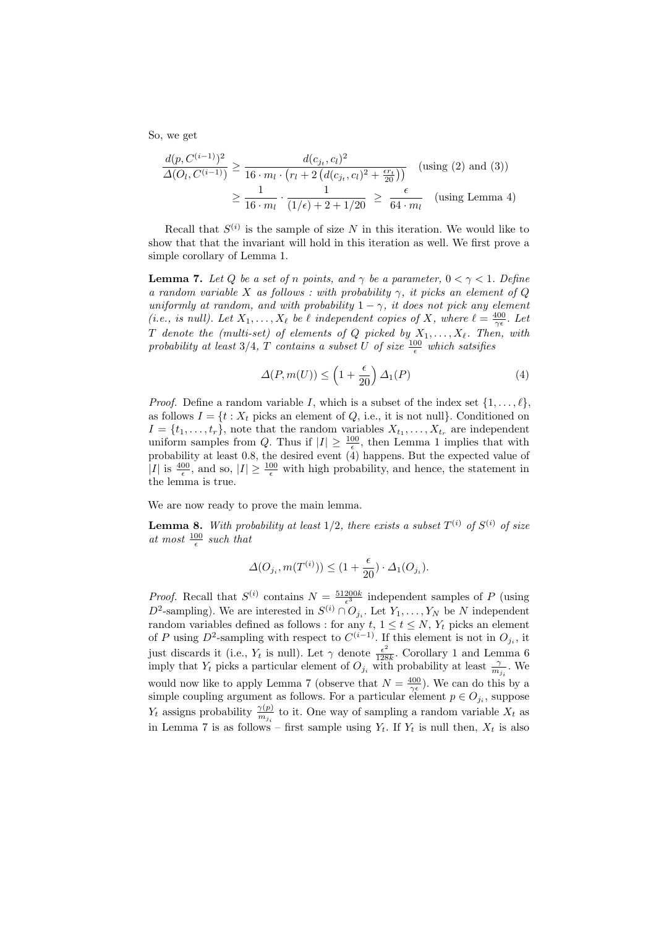So, we get

$$
\frac{d(p, C^{(i-1)})^2}{\Delta(O_l, C^{(i-1)})} \ge \frac{d(c_{j_t}, c_l)^2}{16 \cdot m_l \cdot (r_l + 2\left(d(c_{j_t}, c_l)^2 + \frac{\epsilon r_t}{20}\right))} \quad \text{(using (2) and (3))}
$$
\n
$$
\ge \frac{1}{16 \cdot m_l} \cdot \frac{1}{(1/\epsilon) + 2 + 1/20} \ge \frac{\epsilon}{64 \cdot m_l} \quad \text{(using Lemma 4)}
$$

Recall that  $S^{(i)}$  is the sample of size N in this iteration. We would like to show that that the invariant will hold in this iteration as well. We first prove a simple corollary of Lemma 1.

**Lemma 7.** Let Q be a set of n points, and  $\gamma$  be a parameter,  $0 < \gamma < 1$ . Define a random variable X as follows : with probability  $\gamma$ , it picks an element of Q uniformly at random, and with probability  $1 - \gamma$ , it does not pick any element (i.e., is null). Let  $X_1, \ldots, X_\ell$  be  $\ell$  independent copies of X, where  $\ell = \frac{400}{\gamma \epsilon}$ . Let  $T$  denote the (multi-set) of elements of  $Q$  picked by  $X_1, \ldots, X_\ell$ . Then, with probability at least 3/4, T contains a subset U of size  $\frac{100}{\epsilon}$  which satsifies

$$
\Delta(P, m(U)) \le \left(1 + \frac{\epsilon}{20}\right) \Delta_1(P) \tag{4}
$$

*Proof.* Define a random variable I, which is a subset of the index set  $\{1, \ldots, \ell\}$ , as follows  $I = \{t : X_t \text{ picks an element of } Q, \text{ i.e., it is not null} \}.$  Conditioned on  $I = \{t_1, \ldots, t_r\}$ , note that the random variables  $X_{t_1}, \ldots, X_{t_r}$  are independent uniform samples from Q. Thus if  $|I| \geq \frac{100}{\epsilon}$ , then Lemma 1 implies that with probability at least 0.8, the desired event  $(4)$  happens. But the expected value of |I| is  $\frac{400}{\epsilon}$ , and so,  $|I| \geq \frac{100}{\epsilon}$  with high probability, and hence, the statement in the lemma is true.

We are now ready to prove the main lemma.

**Lemma 8.** With probability at least  $1/2$ , there exists a subset  $T^{(i)}$  of  $S^{(i)}$  of size at most  $\frac{100}{\epsilon}$  such that

$$
\Delta(O_{j_i},m(T^{(i)})) \leq (1+\frac{\epsilon}{20})\cdot \Delta_1(O_{j_i}).
$$

*Proof.* Recall that  $S^{(i)}$  contains  $N = \frac{51200k}{\epsilon^3}$  independent samples of P (using  $D^2$ -sampling). We are interested in  $S^{(i)} \cap O_{j_i}$ . Let  $Y_1, \ldots, Y_N$  be N independent random variables defined as follows : for any  $t, 1 \le t \le N$ ,  $Y_t$  picks an element of P using  $D^2$ -sampling with respect to  $C^{(i-1)}$ . If this element is not in  $O_{j_i}$ , it just discards it (i.e.,  $Y_t$  is null). Let  $\gamma$  denote  $\frac{\epsilon^2}{128}$  $\frac{\epsilon^2}{128k}$ . Corollary 1 and Lemma 6 imply that  $Y_t$  picks a particular element of  $O_{j_i}$  with probability at least  $\frac{\gamma}{m_{j_i}}$ . We would now like to apply Lemma 7 (observe that  $N = \frac{400}{\gamma \epsilon}$ ). We can do this by a simple coupling argument as follows. For a particular element  $p \in O_{j_i}$ , suppose  $Y_t$  assigns probability  $\frac{\gamma(p)}{m_{j_i}}$  to it. One way of sampling a random variable  $X_t$  as in Lemma 7 is as follows – first sample using  $Y_t$ . If  $Y_t$  is null then,  $X_t$  is also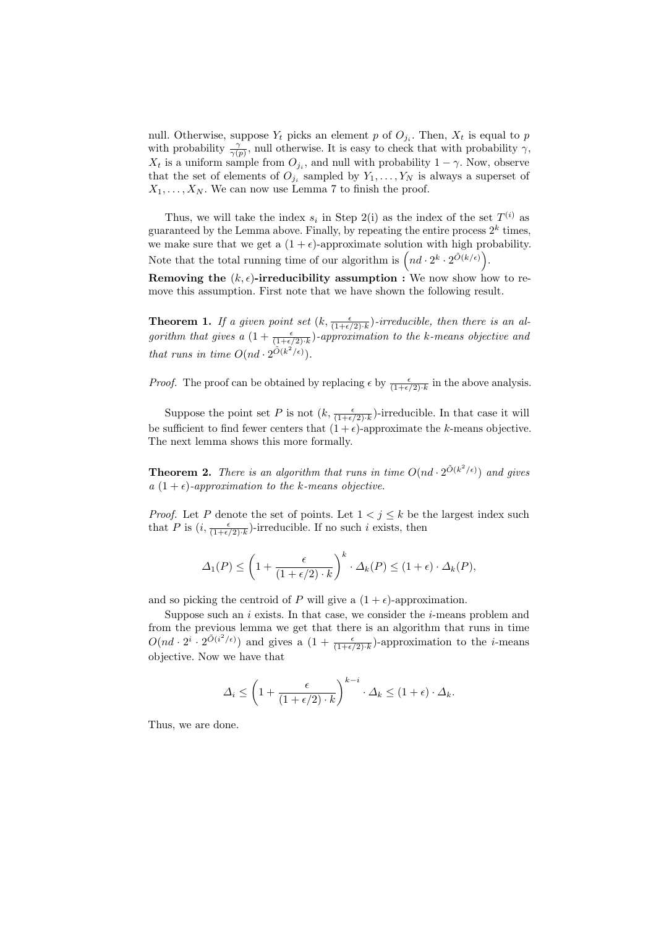null. Otherwise, suppose  $Y_t$  picks an element p of  $O_{j_i}$ . Then,  $X_t$  is equal to p with probability  $\frac{\gamma}{\gamma(p)}$ , null otherwise. It is easy to check that with probability  $\gamma$ ,  $X_t$  is a uniform sample from  $O_{j_i}$ , and null with probability  $1 - \gamma$ . Now, observe that the set of elements of  $O_{j_i}$  sampled by  $Y_1, \ldots, Y_N$  is always a superset of  $X_1, \ldots, X_N$ . We can now use Lemma 7 to finish the proof.

Thus, we will take the index  $s_i$  in Step 2(i) as the index of the set  $T^{(i)}$  as guaranteed by the Lemma above. Finally, by repeating the entire process  $2^k$  times, we make sure that we get a  $(1 + \epsilon)$ -approximate solution with high probability. Note that the total running time of our algorithm is  $\left(nd \cdot 2^k \cdot 2^{\tilde{O}(k/\epsilon)}\right)$ .

Removing the  $(k, \epsilon)$ -irreducibility assumption : We now show how to remove this assumption. First note that we have shown the following result.

**Theorem 1.** If a given point set  $(k, \frac{\epsilon}{(1+\epsilon/2) \cdot k})$ -irreducible, then there is an algorithm that gives a  $(1+\frac{\epsilon}{(1+\epsilon/2)\cdot k})$ -approximation to the k-means objective and that runs in time  $O(nd \cdot 2^{\tilde{O}(k^2/\epsilon)})$ .

*Proof.* The proof can be obtained by replacing  $\epsilon$  by  $\frac{\epsilon}{(1+\epsilon/2)\cdot k}$  in the above analysis.

Suppose the point set P is not  $(k, \frac{\epsilon}{(1+\epsilon/2)\cdot k})$ -irreducible. In that case it will be sufficient to find fewer centers that  $(1 + \epsilon)$ -approximate the k-means objective. The next lemma shows this more formally.

**Theorem 2.** There is an algorithm that runs in time  $O(nd \cdot 2^{\tilde{O}(k^2/\epsilon)})$  and gives a  $(1 + \epsilon)$ -approximation to the k-means objective.

*Proof.* Let P denote the set of points. Let  $1 < j \le k$  be the largest index such that P is  $(i, \frac{\epsilon}{(1+\epsilon/2) \cdot k})$ -irreducible. If no such i exists, then

$$
\Delta_1(P) \le \left(1 + \frac{\epsilon}{(1 + \epsilon/2) \cdot k}\right)^k \cdot \Delta_k(P) \le (1 + \epsilon) \cdot \Delta_k(P),
$$

and so picking the centroid of P will give a  $(1 + \epsilon)$ -approximation.

Suppose such an  $i$  exists. In that case, we consider the  $i$ -means problem and from the previous lemma we get that there is an algorithm that runs in time  $O(nd \cdot 2^i \cdot 2^{\tilde{O}(i^2/\epsilon)})$  and gives a  $(1 + \frac{\epsilon}{(1+\epsilon/2)\cdot k})$ -approximation to the *i*-means objective. Now we have that

$$
\Delta_i \le \left(1 + \frac{\epsilon}{(1 + \epsilon/2) \cdot k}\right)^{k - i} \cdot \Delta_k \le (1 + \epsilon) \cdot \Delta_k.
$$

Thus, we are done.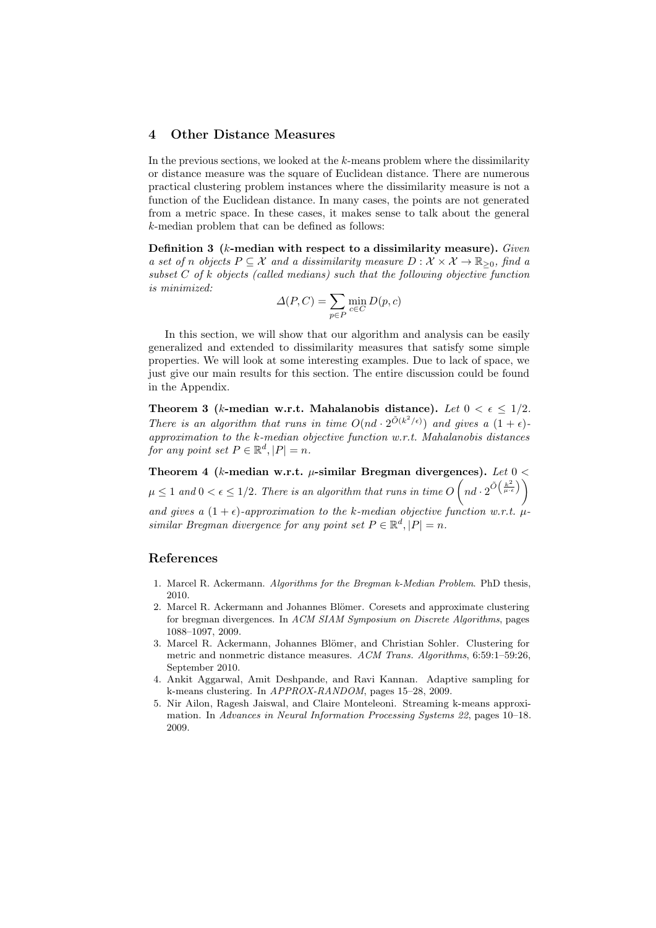#### 4 Other Distance Measures

In the previous sections, we looked at the  $k$ -means problem where the dissimilarity or distance measure was the square of Euclidean distance. There are numerous practical clustering problem instances where the dissimilarity measure is not a function of the Euclidean distance. In many cases, the points are not generated from a metric space. In these cases, it makes sense to talk about the general k-median problem that can be defined as follows:

Definition 3 ( $k$ -median with respect to a dissimilarity measure). Given a set of n objects  $P \subseteq \mathcal{X}$  and a dissimilarity measure  $D : \mathcal{X} \times \mathcal{X} \to \mathbb{R}_{\geq 0}$ , find a subset  $C$  of k objects (called medians) such that the following objective function is minimized:

$$
\Delta(P, C) = \sum_{p \in P} \min_{c \in C} D(p, c)
$$

In this section, we will show that our algorithm and analysis can be easily generalized and extended to dissimilarity measures that satisfy some simple properties. We will look at some interesting examples. Due to lack of space, we just give our main results for this section. The entire discussion could be found in the Appendix.

Theorem 3 (k-median w.r.t. Mahalanobis distance). Let  $0 < \epsilon \leq 1/2$ . There is an algorithm that runs in time  $O(nd \cdot 2^{\tilde{O}(k^2/\epsilon)})$  and gives a  $(1 + \epsilon)$ approximation to the k-median objective function w.r.t. Mahalanobis distances for any point set  $P \in \mathbb{R}^d, |P| = n$ .

Theorem 4 (k-median w.r.t.  $\mu$ -similar Bregman divergences). Let  $0 <$  $\mu \leq 1$  and  $0 < \epsilon \leq 1/2$ . There is an algorithm that runs in time  $O\left(nd \cdot 2^{\tilde{O}\left(\frac{k^2}{\mu \cdot \epsilon}\right)}\right)$ and gives a  $(1 + \epsilon)$ -approximation to the k-median objective function w.r.t.  $\mu$ similar Bregman divergence for any point set  $P \in \mathbb{R}^d$ ,  $|P| = n$ .

## References

- 1. Marcel R. Ackermann. Algorithms for the Bregman k-Median Problem. PhD thesis, 2010.
- 2. Marcel R. Ackermann and Johannes Blömer. Coresets and approximate clustering for bregman divergences. In ACM SIAM Symposium on Discrete Algorithms, pages 1088–1097, 2009.
- 3. Marcel R. Ackermann, Johannes Blömer, and Christian Sohler. Clustering for metric and nonmetric distance measures. ACM Trans. Algorithms, 6:59:1-59:26, September 2010.
- 4. Ankit Aggarwal, Amit Deshpande, and Ravi Kannan. Adaptive sampling for k-means clustering. In APPROX-RANDOM, pages 15–28, 2009.
- 5. Nir Ailon, Ragesh Jaiswal, and Claire Monteleoni. Streaming k-means approximation. In Advances in Neural Information Processing Systems 22, pages 10–18. 2009.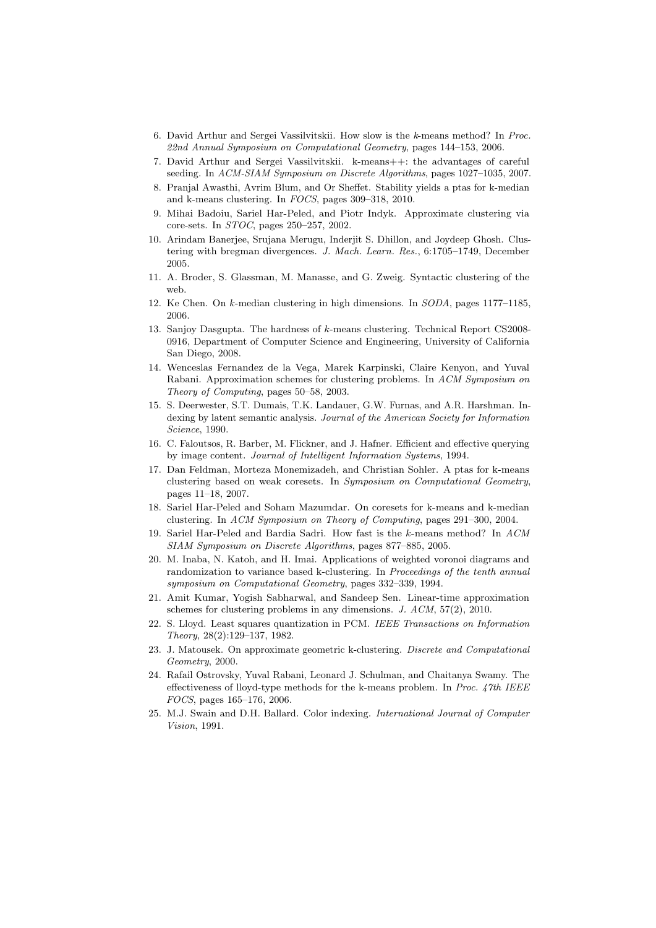- 6. David Arthur and Sergei Vassilvitskii. How slow is the k-means method? In Proc. 22nd Annual Symposium on Computational Geometry, pages 144–153, 2006.
- 7. David Arthur and Sergei Vassilvitskii. k-means++: the advantages of careful seeding. In ACM-SIAM Symposium on Discrete Algorithms, pages 1027-1035, 2007.
- 8. Pranjal Awasthi, Avrim Blum, and Or Sheffet. Stability yields a ptas for k-median and k-means clustering. In FOCS, pages 309–318, 2010.
- 9. Mihai Badoiu, Sariel Har-Peled, and Piotr Indyk. Approximate clustering via core-sets. In STOC, pages 250–257, 2002.
- 10. Arindam Banerjee, Srujana Merugu, Inderjit S. Dhillon, and Joydeep Ghosh. Clustering with bregman divergences. J. Mach. Learn. Res., 6:1705–1749, December 2005.
- 11. A. Broder, S. Glassman, M. Manasse, and G. Zweig. Syntactic clustering of the web.
- 12. Ke Chen. On k-median clustering in high dimensions. In SODA, pages 1177–1185, 2006.
- 13. Sanjoy Dasgupta. The hardness of k-means clustering. Technical Report CS2008- 0916, Department of Computer Science and Engineering, University of California San Diego, 2008.
- 14. Wenceslas Fernandez de la Vega, Marek Karpinski, Claire Kenyon, and Yuval Rabani. Approximation schemes for clustering problems. In ACM Symposium on Theory of Computing, pages 50–58, 2003.
- 15. S. Deerwester, S.T. Dumais, T.K. Landauer, G.W. Furnas, and A.R. Harshman. Indexing by latent semantic analysis. Journal of the American Society for Information Science, 1990.
- 16. C. Faloutsos, R. Barber, M. Flickner, and J. Hafner. Efficient and effective querying by image content. Journal of Intelligent Information Systems, 1994.
- 17. Dan Feldman, Morteza Monemizadeh, and Christian Sohler. A ptas for k-means clustering based on weak coresets. In Symposium on Computational Geometry, pages 11–18, 2007.
- 18. Sariel Har-Peled and Soham Mazumdar. On coresets for k-means and k-median clustering. In ACM Symposium on Theory of Computing, pages 291–300, 2004.
- 19. Sariel Har-Peled and Bardia Sadri. How fast is the k-means method? In ACM SIAM Symposium on Discrete Algorithms, pages 877–885, 2005.
- 20. M. Inaba, N. Katoh, and H. Imai. Applications of weighted voronoi diagrams and randomization to variance based k-clustering. In Proceedings of the tenth annual symposium on Computational Geometry, pages 332–339, 1994.
- 21. Amit Kumar, Yogish Sabharwal, and Sandeep Sen. Linear-time approximation schemes for clustering problems in any dimensions. J. ACM, 57(2), 2010.
- 22. S. Lloyd. Least squares quantization in PCM. IEEE Transactions on Information Theory, 28(2):129–137, 1982.
- 23. J. Matousek. On approximate geometric k-clustering. Discrete and Computational Geometry, 2000.
- 24. Rafail Ostrovsky, Yuval Rabani, Leonard J. Schulman, and Chaitanya Swamy. The effectiveness of lloyd-type methods for the k-means problem. In Proc. 47th IEEE FOCS, pages 165–176, 2006.
- 25. M.J. Swain and D.H. Ballard. Color indexing. International Journal of Computer Vision, 1991.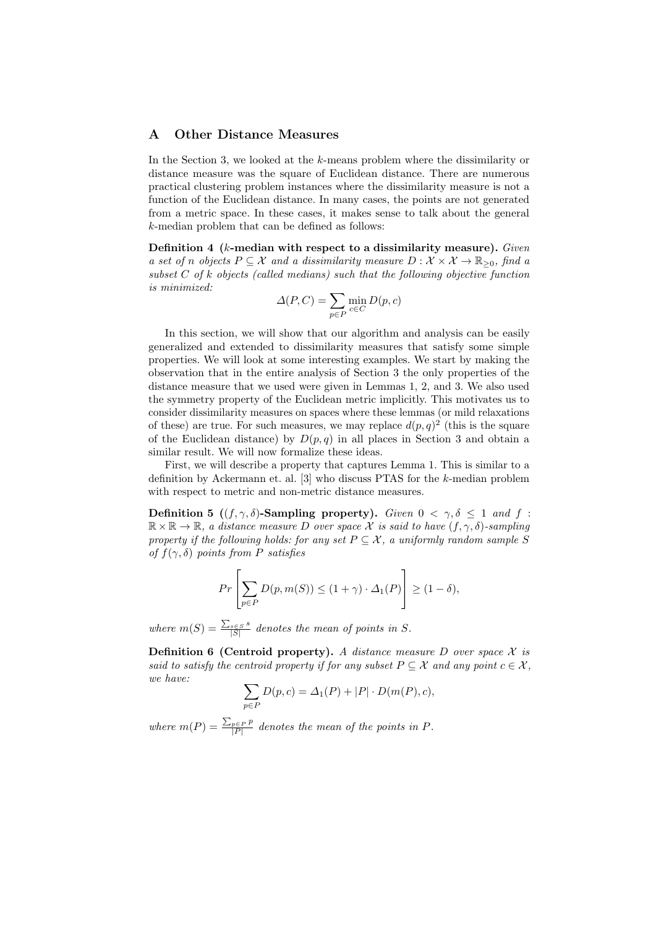#### A Other Distance Measures

In the Section 3, we looked at the k-means problem where the dissimilarity or distance measure was the square of Euclidean distance. There are numerous practical clustering problem instances where the dissimilarity measure is not a function of the Euclidean distance. In many cases, the points are not generated from a metric space. In these cases, it makes sense to talk about the general k-median problem that can be defined as follows:

Definition 4 ( $k$ -median with respect to a dissimilarity measure). Given a set of n objects  $P \subseteq \mathcal{X}$  and a dissimilarity measure  $D : \mathcal{X} \times \mathcal{X} \to \mathbb{R}_{\geq 0}$ , find a subset  $C$  of  $k$  objects (called medians) such that the following objective function is minimized:

$$
\Delta(P, C) = \sum_{p \in P} \min_{c \in C} D(p, c)
$$

In this section, we will show that our algorithm and analysis can be easily generalized and extended to dissimilarity measures that satisfy some simple properties. We will look at some interesting examples. We start by making the observation that in the entire analysis of Section 3 the only properties of the distance measure that we used were given in Lemmas 1, 2, and 3. We also used the symmetry property of the Euclidean metric implicitly. This motivates us to consider dissimilarity measures on spaces where these lemmas (or mild relaxations of these) are true. For such measures, we may replace  $d(p, q)^2$  (this is the square of the Euclidean distance) by  $D(p,q)$  in all places in Section 3 and obtain a similar result. We will now formalize these ideas.

First, we will describe a property that captures Lemma 1. This is similar to a definition by Ackermann et. al.  $[3]$  who discuss PTAS for the k-median problem with respect to metric and non-metric distance measures.

Definition 5 ((f,  $\gamma$ ,  $\delta$ )-Sampling property). Given  $0 < \gamma$ ,  $\delta < 1$  and f:  $\mathbb{R} \times \mathbb{R} \to \mathbb{R}$ , a distance measure D over space X is said to have  $(f, \gamma, \delta)$ -sampling property if the following holds: for any set  $P \subseteq \mathcal{X}$ , a uniformly random sample S of  $f(\gamma, \delta)$  points from P satisfies

$$
Pr\left[\sum_{p \in P} D(p, m(S)) \le (1 + \gamma) \cdot \Delta_1(P)\right] \ge (1 - \delta),
$$

where  $m(S) = \frac{\sum_{s \in S} s}{|S|}$  $\frac{s \in S^{S}}{|S|}$  denotes the mean of points in S.

**Definition 6 (Centroid property).** A distance measure D over space  $\mathcal{X}$  is said to satisfy the centroid property if for any subset  $P \subseteq \mathcal{X}$  and any point  $c \in \mathcal{X}$ , we have:

$$
\sum_{p \in P} D(p, c) = \Delta_1(P) + |P| \cdot D(m(P), c),
$$

where  $m(P) = \frac{\sum_{p \in P} p}{|P|}$  $\frac{p\in P|P}{|P|}$  denotes the mean of the points in P.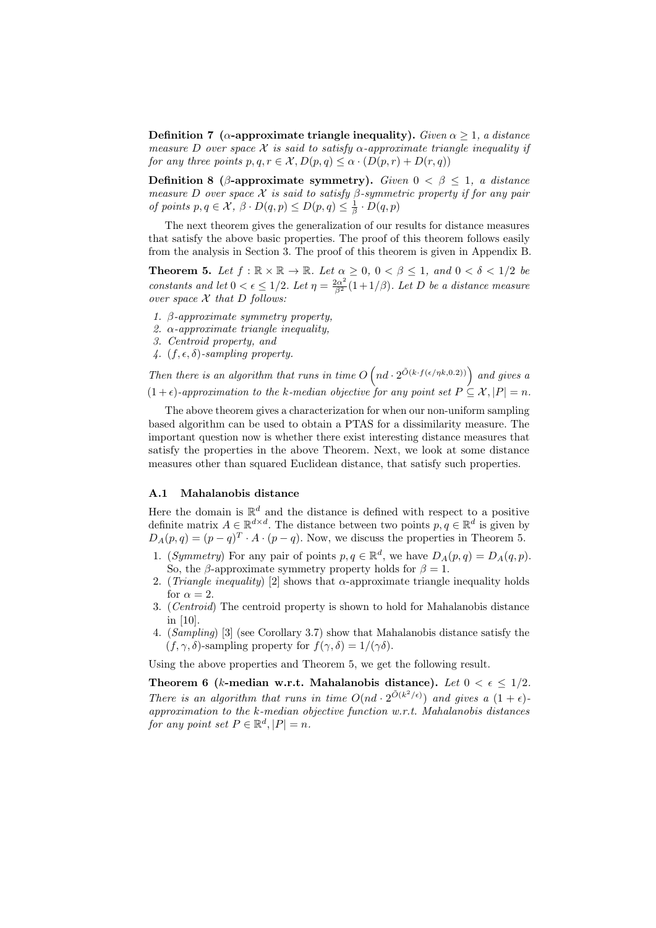Definition 7 (α-approximate triangle inequality). Given  $\alpha \geq 1$ , a distance measure D over space X is said to satisfy  $\alpha$ -approximate triangle inequality if for any three points  $p, q, r \in \mathcal{X}, D(p,q) \leq \alpha \cdot (D(p,r) + D(r,q))$ 

Definition 8 ( $\beta$ -approximate symmetry). Given  $0 < \beta \leq 1$ , a distance measure D over space X is said to satisfy  $\beta$ -symmetric property if for any pair of points  $p, q \in \mathcal{X}, \ \beta \cdot D(q, p) \leq D(p, q) \leq \frac{1}{\beta} \cdot D(q, p)$ 

The next theorem gives the generalization of our results for distance measures that satisfy the above basic properties. The proof of this theorem follows easily from the analysis in Section 3. The proof of this theorem is given in Appendix B.

**Theorem 5.** Let  $f : \mathbb{R} \times \mathbb{R} \to \mathbb{R}$ . Let  $\alpha \geq 0$ ,  $0 < \beta \leq 1$ , and  $0 < \delta < 1/2$  be constants and let  $0 < \epsilon \leq 1/2$ . Let  $\eta = \frac{2\alpha^2}{\beta^2}(1+1/\beta)$ . Let D be a distance measure over space  $X$  that  $D$  follows:

- 1.  $\beta$ -approximate symmetry property,
- 2.  $\alpha$ -approximate triangle inequality,
- 3. Centroid property, and
- 4.  $(f, \epsilon, \delta)$ -sampling property.

Then there is an algorithm that runs in time  $O(n_d \cdot 2^{\tilde{O}(k \cdot f(\epsilon/\eta k,0.2))})$  and gives a  $(1 + \epsilon)$ -approximation to the k-median objective for any point set  $P \subseteq \mathcal{X}, |P| = n$ .

The above theorem gives a characterization for when our non-uniform sampling based algorithm can be used to obtain a PTAS for a dissimilarity measure. The important question now is whether there exist interesting distance measures that satisfy the properties in the above Theorem. Next, we look at some distance measures other than squared Euclidean distance, that satisfy such properties.

#### A.1 Mahalanobis distance

Here the domain is  $\mathbb{R}^d$  and the distance is defined with respect to a positive definite matrix  $A \in \mathbb{R}^{d \times d}$ . The distance between two points  $p, q \in \mathbb{R}^d$  is given by  $D_A(p,q) = (p-q)^T \cdot A \cdot (p-q)$ . Now, we discuss the properties in Theorem 5.

- 1. (Symmetry) For any pair of points  $p, q \in \mathbb{R}^d$ , we have  $D_A(p,q) = D_A(q,p)$ . So, the β-approximate symmetry property holds for  $\beta = 1$ .
- 2. (Triangle inequality) [2] shows that  $\alpha$ -approximate triangle inequality holds for  $\alpha = 2$ .
- 3. (Centroid) The centroid property is shown to hold for Mahalanobis distance in [10].
- 4. (Sampling) [3] (see Corollary 3.7) show that Mahalanobis distance satisfy the  $(f, \gamma, \delta)$ -sampling property for  $f(\gamma, \delta) = 1/(\gamma \delta)$ .

Using the above properties and Theorem 5, we get the following result.

Theorem 6 (k-median w.r.t. Mahalanobis distance). Let  $0 < \epsilon < 1/2$ . There is an algorithm that runs in time  $O(nd \cdot 2^{\tilde{O}(k^2/\epsilon)})$  and gives a  $(1+\epsilon)$ approximation to the k-median objective function w.r.t. Mahalanobis distances for any point set  $P \in \mathbb{R}^d, |P| = n$ .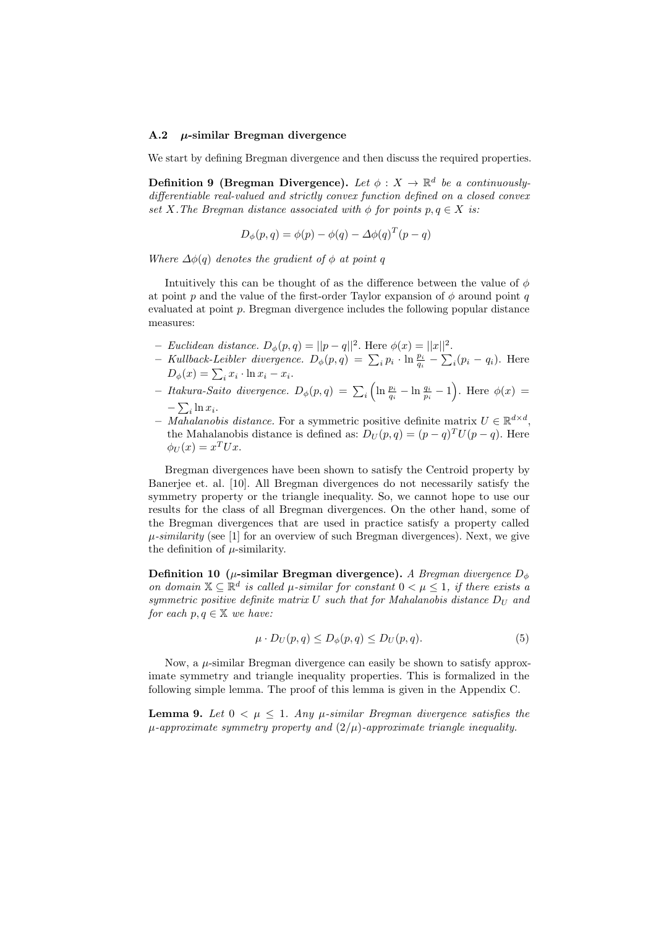#### A.2  $\mu$ -similar Bregman divergence

We start by defining Bregman divergence and then discuss the required properties.

Definition 9 (Bregman Divergence). Let  $\phi: X \to \mathbb{R}^d$  be a continuouslydifferentiable real-valued and strictly convex function defined on a closed convex set X. The Bregman distance associated with  $\phi$  for points  $p, q \in X$  is:

$$
D_{\phi}(p,q) = \phi(p) - \phi(q) - \Delta\phi(q)^{T}(p-q)
$$

Where  $\Delta\phi(q)$  denotes the gradient of  $\phi$  at point q

Intuitively this can be thought of as the difference between the value of  $\phi$ at point p and the value of the first-order Taylor expansion of  $\phi$  around point q evaluated at point p. Bregman divergence includes the following popular distance measures:

- Euclidean distance.  $D_{\phi}(p,q) = ||p-q||^2$ . Here  $\phi(x) = ||x||^2$ .
- Kullback-Leibler divergence.  $D_{\phi}(p,q) = \sum_{i} p_i \cdot \ln \frac{p_i}{q_i} \sum_{i} (p_i q_i)$ . Here  $D_{\phi}(x) = \sum_{i} x_i \cdot \ln x_i - x_i.$
- Itakura-Saito divergence.  $D_{\phi}(p,q) = \sum_i \left( \ln \frac{p_i}{q_i} \ln \frac{q_i}{p_i} 1 \right)$ . Here  $\phi(x) =$  $-\sum_i \ln x_i$ .
- Mahalanobis distance. For a symmetric positive definite matrix  $U \in \mathbb{R}^{d \times d}$ , the Mahalanobis distance is defined as:  $D_U(p,q) = (p-q)^T U(p-q)$ . Here  $\phi_U(x) = x^T U x.$

Bregman divergences have been shown to satisfy the Centroid property by Banerjee et. al. [10]. All Bregman divergences do not necessarily satisfy the symmetry property or the triangle inequality. So, we cannot hope to use our results for the class of all Bregman divergences. On the other hand, some of the Bregman divergences that are used in practice satisfy a property called  $\mu$ -similarity (see [1] for an overview of such Bregman divergences). Next, we give the definition of  $\mu$ -similarity.

Definition 10 ( $\mu$ -similar Bregman divergence). A Bregman divergence  $D_{\phi}$ on domain  $X \subseteq \mathbb{R}^d$  is called  $\mu$ -similar for constant  $0 < \mu \leq 1$ , if there exists a symmetric positive definite matrix  $U$  such that for Mahalanobis distance  $D_U$  and for each  $p, q \in \mathbb{X}$  we have:

$$
\mu \cdot D_U(p,q) \le D_{\phi}(p,q) \le D_U(p,q). \tag{5}
$$

Now, a  $\mu$ -similar Bregman divergence can easily be shown to satisfy approximate symmetry and triangle inequality properties. This is formalized in the following simple lemma. The proof of this lemma is given in the Appendix C.

**Lemma 9.** Let  $0 < \mu < 1$ . Any  $\mu$ -similar Bregman divergence satisfies the  $\mu$ -approximate symmetry property and  $(2/\mu)$ -approximate triangle inequality.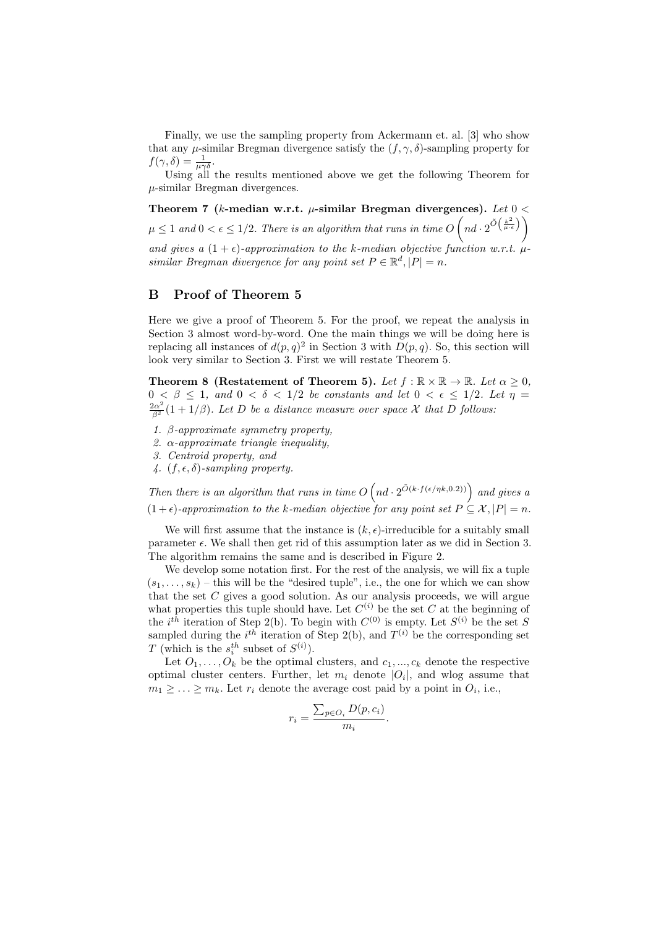Finally, we use the sampling property from Ackermann et. al. [3] who show that any  $\mu$ -similar Bregman divergence satisfy the  $(f, \gamma, \delta)$ -sampling property for  $f(\gamma,\delta) = \frac{1}{\mu\gamma\delta}.$ 

Using all the results mentioned above we get the following Theorem for  $\mu$ -similar Bregman divergences.

Theorem 7 (k-median w.r.t.  $\mu$ -similar Bregman divergences). Let  $0 <$  $\mu \leq 1$  and  $0 < \epsilon \leq 1/2$ . There is an algorithm that runs in time  $O\left(nd \cdot 2^{\tilde{O}\left(\frac{k^2}{\mu \cdot \epsilon}\right)}\right)$ and gives a  $(1 + \epsilon)$ -approximation to the k-median objective function w.r.t.  $\mu$ similar Bregman divergence for any point set  $P \in \mathbb{R}^d, |P| = n$ .

# B Proof of Theorem 5

Here we give a proof of Theorem 5. For the proof, we repeat the analysis in Section 3 almost word-by-word. One the main things we will be doing here is replacing all instances of  $d(p,q)^2$  in Section 3 with  $D(p,q)$ . So, this section will look very similar to Section 3. First we will restate Theorem 5.

Theorem 8 (Restatement of Theorem 5). Let  $f : \mathbb{R} \times \mathbb{R} \to \mathbb{R}$ . Let  $\alpha \geq 0$ ,  $0 < \beta \leq 1$ , and  $0 < \delta < 1/2$  be constants and let  $0 < \epsilon \leq 1/2$ . Let  $\eta =$  $\frac{2\alpha^2}{\beta^2}(1+1/\beta)$ . Let D be a distance measure over space X that D follows:

- 1.  $\beta$ -approximate symmetry property,
- 2.  $\alpha$ -approximate triangle inequality,
- 3. Centroid property, and
- 4.  $(f, \epsilon, \delta)$ -sampling property.

Then there is an algorithm that runs in time  $O(n_d \cdot 2^{\tilde{O}(k \cdot f(\epsilon/\eta k,0.2))})$  and gives a  $(1 + \epsilon)$ -approximation to the k-median objective for any point set  $P \subseteq \mathcal{X}, |P| = n$ .

We will first assume that the instance is  $(k, \epsilon)$ -irreducible for a suitably small parameter  $\epsilon$ . We shall then get rid of this assumption later as we did in Section 3. The algorithm remains the same and is described in Figure 2.

We develop some notation first. For the rest of the analysis, we will fix a tuple  $(s_1, \ldots, s_k)$  – this will be the "desired tuple", i.e., the one for which we can show that the set  $C$  gives a good solution. As our analysis proceeds, we will argue what properties this tuple should have. Let  $C^{(i)}$  be the set C at the beginning of the *i*<sup>th</sup> iteration of Step 2(b). To begin with  $C^{(0)}$  is empty. Let  $S^{(i)}$  be the set S sampled during the *i*<sup>th</sup> iteration of Step 2(b), and  $T^{(i)}$  be the corresponding set T (which is the  $s_i^{th}$  subset of  $S^{(i)}$ ).

Let  $O_1, \ldots, O_k$  be the optimal clusters, and  $c_1, \ldots, c_k$  denote the respective optimal cluster centers. Further, let  $m_i$  denote  $|O_i|$ , and wlog assume that  $m_1 \geq \ldots \geq m_k$ . Let  $r_i$  denote the average cost paid by a point in  $O_i$ , i.e.,

$$
r_i = \frac{\sum_{p \in O_i} D(p, c_i)}{m_i}.
$$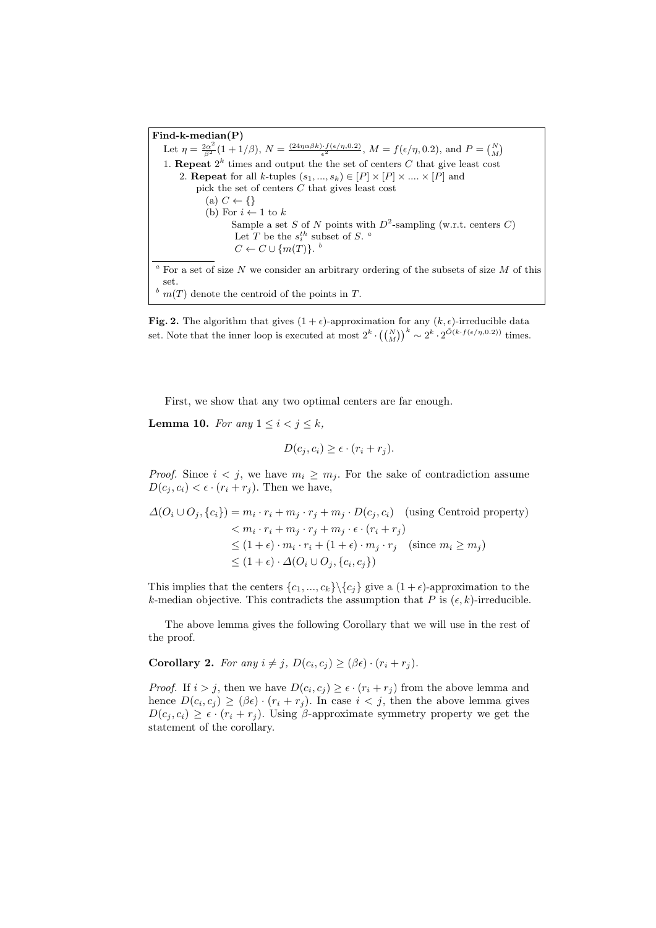Find-k-median(P) Let  $\eta = \frac{2\alpha^2}{\beta^2} (1 + 1/\beta), N = \frac{(24\eta\alpha\beta k) \cdot f(\epsilon/\eta, 0.2)}{\epsilon^2}, M = f(\epsilon/\eta, 0.2), \text{ and } P = {N \choose M}$ 1. **Repeat**  $2^k$  times and output the the set of centers C that give least cost 2. **Repeat** for all k-tuples  $(s_1, ..., s_k) \in [P] \times [P] \times ... \times [P]$  and pick the set of centers C that gives least cost (a)  $C \leftarrow \{\}$ (b) For  $i \leftarrow 1$  to k Sample a set S of N points with  $D^2$ -sampling (w.r.t. centers C) Let T be the  $s_i^{th}$  subset of S.<sup>*a*</sup>  $C \leftarrow C \cup \{m(T)\}\text{.}$ <sup>b</sup>  $\alpha$  For a set of size N we consider an arbitrary ordering of the subsets of size M of this set.  $\frac{b}{m(T)}$  denote the centroid of the points in T.

Fig. 2. The algorithm that gives  $(1 + \epsilon)$ -approximation for any  $(k, \epsilon)$ -irreducible data set. Note that the inner loop is executed at most  $2^k \cdot {(\binom{N}{M})}^k \sim 2^k \cdot 2^{\tilde{O}(k \cdot f(\epsilon/\eta, 0.2))}$  times.

First, we show that any two optimal centers are far enough.

**Lemma 10.** For any  $1 \leq i < j \leq k$ ,

$$
D(c_j, c_i) \ge \epsilon \cdot (r_i + r_j).
$$

*Proof.* Since  $i < j$ , we have  $m_i \geq m_j$ . For the sake of contradiction assume  $D(c_j, c_i) < \epsilon \cdot (r_i + r_j)$ . Then we have,

$$
\Delta(O_i \cup O_j, \{c_i\}) = m_i \cdot r_i + m_j \cdot r_j + m_j \cdot D(c_j, c_i) \quad \text{(using Centroid property)}
$$
  

$$
< m_i \cdot r_i + m_j \cdot r_j + m_j \cdot \epsilon \cdot (r_i + r_j)
$$
  

$$
\leq (1 + \epsilon) \cdot m_i \cdot r_i + (1 + \epsilon) \cdot m_j \cdot r_j \quad \text{(since } m_i \geq m_j)
$$
  

$$
\leq (1 + \epsilon) \cdot \Delta(O_i \cup O_j, \{c_i, c_j\})
$$

This implies that the centers  $\{c_1, ..., c_k\} \setminus \{c_i\}$  give a  $(1 + \epsilon)$ -approximation to the k-median objective. This contradicts the assumption that P is  $(\epsilon, k)$ -irreducible.

The above lemma gives the following Corollary that we will use in the rest of the proof.

**Corollary 2.** For any  $i \neq j$ ,  $D(c_i, c_j) \geq (\beta \epsilon) \cdot (r_i + r_j)$ .

*Proof.* If  $i > j$ , then we have  $D(c_i, c_j) \geq \epsilon \cdot (r_i + r_j)$  from the above lemma and hence  $D(c_i, c_j) \geq (\beta \epsilon) \cdot (r_i + r_j)$ . In case  $i < j$ , then the above lemma gives  $D(c_i, c_i) \geq \epsilon \cdot (r_i + r_i)$ . Using  $\beta$ -approximate symmetry property we get the statement of the corollary.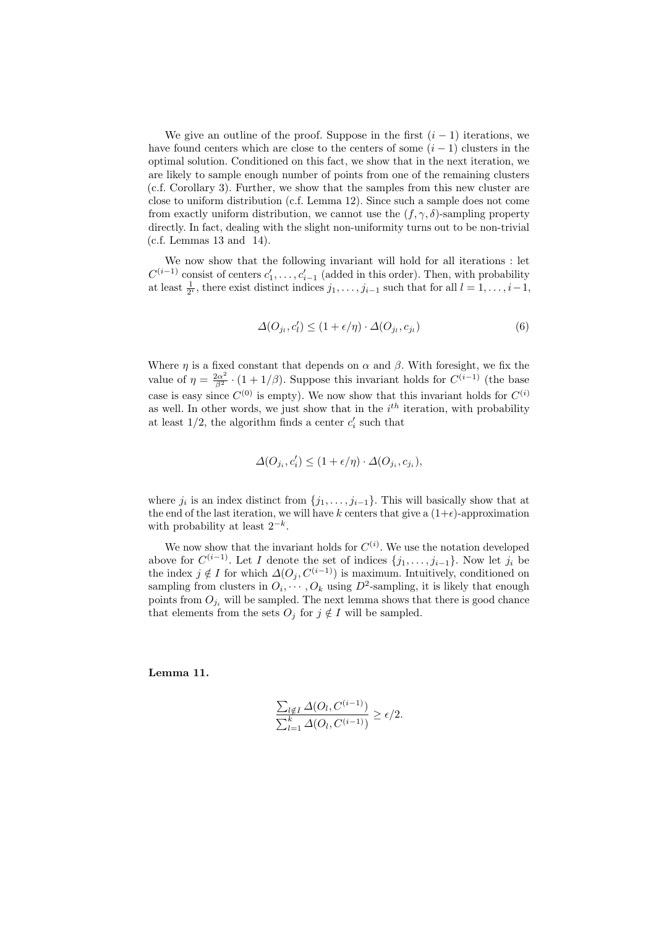We give an outline of the proof. Suppose in the first  $(i - 1)$  iterations, we have found centers which are close to the centers of some  $(i - 1)$  clusters in the optimal solution. Conditioned on this fact, we show that in the next iteration, we are likely to sample enough number of points from one of the remaining clusters (c.f. Corollary 3). Further, we show that the samples from this new cluster are close to uniform distribution (c.f. Lemma 12). Since such a sample does not come from exactly uniform distribution, we cannot use the  $(f, \gamma, \delta)$ -sampling property directly. In fact, dealing with the slight non-uniformity turns out to be non-trivial  $(c.f.$  Lemmas 13 and 14).

We now show that the following invariant will hold for all iterations : let  $C^{(i-1)}$  consist of centers  $c'_1, \ldots, c'_{i-1}$  (added in this order). Then, with probability at least  $\frac{1}{2^i}$ , there exist distinct indices  $j_1, \ldots, j_{i-1}$  such that for all  $l = 1, \ldots, i-1$ ,

$$
\Delta(O_{j_l}, c'_l) \le (1 + \epsilon/\eta) \cdot \Delta(O_{j_l}, c_{j_l}) \tag{6}
$$

Where  $\eta$  is a fixed constant that depends on  $\alpha$  and  $\beta$ . With foresight, we fix the value of  $\eta = \frac{2\alpha^2}{\beta^2} \cdot (1 + 1/\beta)$ . Suppose this invariant holds for  $C^{(i-1)}$  (the base case is easy since  $C^{(0)}$  is empty). We now show that this invariant holds for  $C^{(i)}$ as well. In other words, we just show that in the  $i<sup>th</sup>$  iteration, with probability at least  $1/2$ , the algorithm finds a center  $c_i'$  such that

$$
\varDelta(O_{j_i},c_i')\leq (1+\epsilon/\eta)\cdot \varDelta(O_{j_i},c_{j_i}),
$$

where  $j_i$  is an index distinct from  $\{j_1, \ldots, j_{i-1}\}$ . This will basically show that at the end of the last iteration, we will have k centers that give a  $(1+\epsilon)$ -approximation with probability at least  $2^{-k}$ .

We now show that the invariant holds for  $C^{(i)}$ . We use the notation developed above for  $C^{(i-1)}$ . Let I denote the set of indices  $\{j_1, \ldots, j_{i-1}\}$ . Now let  $j_i$  be the index  $j \notin I$  for which  $\Delta(O_i, C^{(i-1)})$  is maximum. Intuitively, conditioned on sampling from clusters in  $O_i, \dots, O_k$  using  $D^2$ -sampling, it is likely that enough points from  $O_i$  will be sampled. The next lemma shows that there is good chance that elements from the sets  $O_i$  for  $j \notin I$  will be sampled.

Lemma 11.

$$
\frac{\sum_{l \notin I} \Delta(O_l, C^{(i-1)})}{\sum_{l=1}^k \Delta(O_l, C^{(i-1)})} \ge \epsilon/2.
$$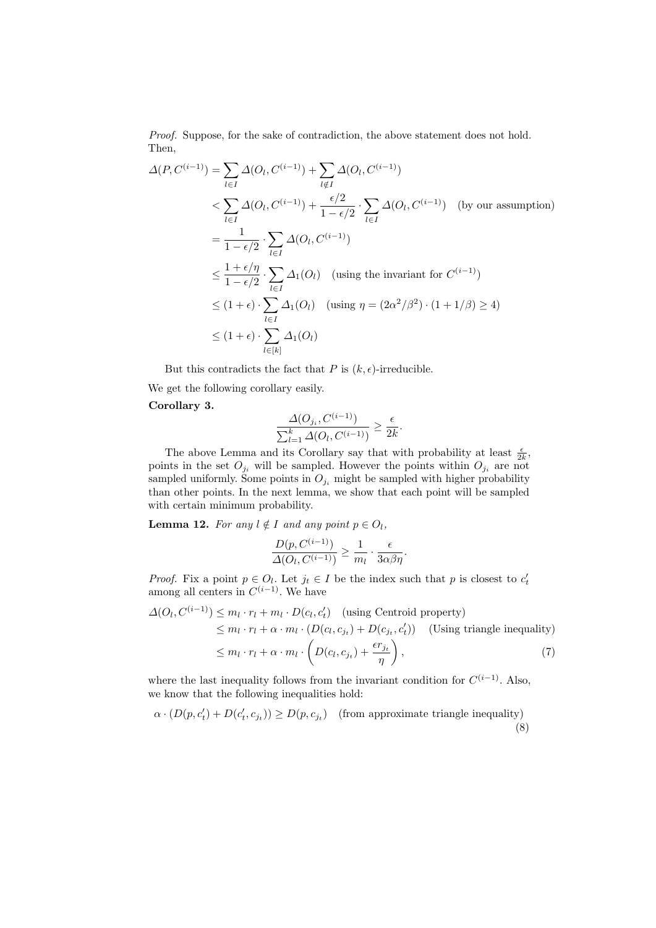Proof. Suppose, for the sake of contradiction, the above statement does not hold. Then,

$$
\Delta(P, C^{(i-1)}) = \sum_{l \in I} \Delta(O_l, C^{(i-1)}) + \sum_{l \notin I} \Delta(O_l, C^{(i-1)})
$$
  
\n
$$
< \sum_{l \in I} \Delta(O_l, C^{(i-1)}) + \frac{\epsilon/2}{1 - \epsilon/2} \cdot \sum_{l \in I} \Delta(O_l, C^{(i-1)}) \quad \text{(by our assumption)}
$$
  
\n
$$
= \frac{1}{1 - \epsilon/2} \cdot \sum_{l \in I} \Delta(O_l, C^{(i-1)})
$$
  
\n
$$
\leq \frac{1 + \epsilon/\eta}{1 - \epsilon/2} \cdot \sum_{l \in I} \Delta_1(O_l) \quad \text{(using the invariant for } C^{(i-1)})
$$
  
\n
$$
\leq (1 + \epsilon) \cdot \sum_{l \in I} \Delta_1(O_l) \quad \text{(using } \eta = (2\alpha^2/\beta^2) \cdot (1 + 1/\beta) \geq 4)
$$
  
\n
$$
\leq (1 + \epsilon) \cdot \sum_{l \in [k]} \Delta_1(O_l)
$$

But this contradicts the fact that P is  $(k, \epsilon)$ -irreducible.

We get the following corollary easily.

### Corollary 3.

$$
\frac{\Delta(O_{j_i}, C^{(i-1)})}{\sum_{l=1}^k \Delta(O_l, C^{(i-1)})} \ge \frac{\epsilon}{2k}.
$$

The above Lemma and its Corollary say that with probability at least  $\frac{\epsilon}{2k}$ , points in the set  $O_{j_i}$  will be sampled. However the points within  $O_{j_i}$  are not sampled uniformly. Some points in  $O_{j_i}$  might be sampled with higher probability than other points. In the next lemma, we show that each point will be sampled with certain minimum probability.

**Lemma 12.** For any  $l \notin I$  and any point  $p \in O_l$ ,

$$
\frac{D(p, C^{(i-1)})}{\Delta(O_l, C^{(i-1)})} \ge \frac{1}{m_l} \cdot \frac{\epsilon}{3\alpha\beta\eta}.
$$

*Proof.* Fix a point  $p \in O_l$ . Let  $j_t \in I$  be the index such that p is closest to  $c'_t$ among all centers in  $C^{(i-1)}$ . We have

$$
\Delta(O_l, C^{(i-1)}) \le m_l \cdot r_l + m_l \cdot D(c_l, c'_t) \quad \text{(using Centroid property)}
$$
  
\n
$$
\le m_l \cdot r_l + \alpha \cdot m_l \cdot (D(c_l, c_{j_t}) + D(c_{j_t}, c'_t)) \quad \text{(Using triangle inequality)}
$$
  
\n
$$
\le m_l \cdot r_l + \alpha \cdot m_l \cdot \left(D(c_l, c_{j_t}) + \frac{\epsilon r_{j_t}}{\eta}\right), \tag{7}
$$

where the last inequality follows from the invariant condition for  $C^{(i-1)}$ . Also, we know that the following inequalities hold:

$$
\alpha \cdot (D(p, c'_t) + D(c'_t, c_{j_t})) \ge D(p, c_{j_t}) \quad \text{(from approximate triangle inequality)} \tag{8}
$$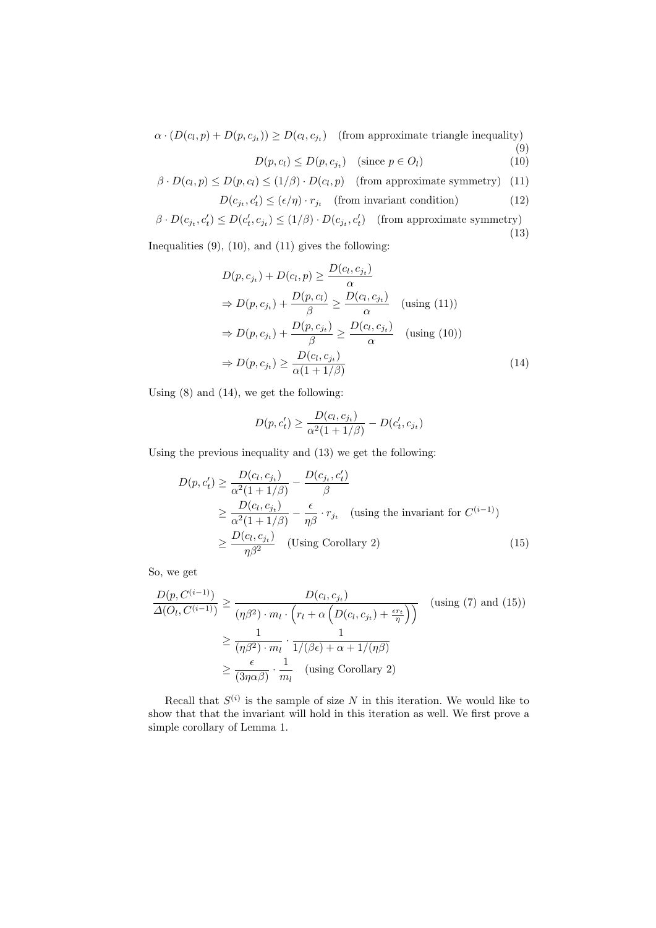$\alpha \cdot (D(c_l, p) + D(p, c_{j_t})) \ge D(c_l, c_{j_t})$  (from approximate triangle inequality) (9)

$$
D(p, c_l) \le D(p, c_{j_t}) \quad \text{(since } p \in O_l \text{)}
$$
\n
$$
(10)
$$

$$
\beta \cdot D(c_l, p) \le D(p, c_l) \le (1/\beta) \cdot D(c_l, p) \quad \text{(from approximate symmetry)} \quad (11)
$$

$$
D(c_{j_t}, c'_t) \le (\epsilon/\eta) \cdot r_{j_t} \quad \text{(from invariant condition)} \tag{12}
$$

$$
\beta \cdot D(c_{j_t}, c'_t) \le D(c'_t, c_{j_t}) \le (1/\beta) \cdot D(c_{j_t}, c'_t) \quad \text{(from approximate symmetry)}\tag{13}
$$

Inequalities  $(9)$ ,  $(10)$ , and  $(11)$  gives the following:

$$
D(p, c_{j_t}) + D(c_l, p) \ge \frac{D(c_l, c_{j_t})}{\alpha}
$$
  
\n
$$
\Rightarrow D(p, c_{j_t}) + \frac{D(p, c_l)}{\beta} \ge \frac{D(c_l, c_{j_t})}{\alpha} \quad \text{(using (11))}
$$
  
\n
$$
\Rightarrow D(p, c_{j_t}) + \frac{D(p, c_{j_t})}{\beta} \ge \frac{D(c_l, c_{j_t})}{\alpha} \quad \text{(using (10))}
$$
  
\n
$$
\Rightarrow D(p, c_{j_t}) \ge \frac{D(c_l, c_{j_t})}{\alpha(1 + 1/\beta)}
$$
\n(14)

Using (8) and (14), we get the following:

$$
D(p, c'_{t}) \ge \frac{D(c_{l}, c_{j_{t}})}{\alpha^{2}(1 + 1/\beta)} - D(c'_{t}, c_{j_{t}})
$$

Using the previous inequality and (13) we get the following:

$$
D(p, c'_t) \ge \frac{D(c_l, c_{j_t})}{\alpha^2 (1 + 1/\beta)} - \frac{D(c_{j_t}, c'_t)}{\beta}
$$
  
\n
$$
\ge \frac{D(c_l, c_{j_t})}{\alpha^2 (1 + 1/\beta)} - \frac{\epsilon}{\eta \beta} \cdot r_{j_t} \quad \text{(using the invariant for } C^{(i-1)})
$$
  
\n
$$
\ge \frac{D(c_l, c_{j_t})}{\eta \beta^2} \quad \text{(Using Corollary 2)} \tag{15}
$$

So, we get

$$
\frac{D(p, C^{(i-1)})}{\Delta(O_l, C^{(i-1)})} \ge \frac{D(c_l, c_{j_t})}{(\eta \beta^2) \cdot m_l \cdot \left(r_l + \alpha \left(D(c_l, c_{j_t}) + \frac{\epsilon r_t}{\eta}\right)\right)} \quad \text{(using (7) and (15))}
$$
\n
$$
\ge \frac{1}{(\eta \beta^2) \cdot m_l} \cdot \frac{1}{1/(\beta \epsilon) + \alpha + 1/(\eta \beta)}
$$
\n
$$
\ge \frac{\epsilon}{(3\eta \alpha \beta)} \cdot \frac{1}{m_l} \quad \text{(using Corollary 2)}
$$

Recall that  $S^{(i)}$  is the sample of size N in this iteration. We would like to show that that the invariant will hold in this iteration as well. We first prove a simple corollary of Lemma 1.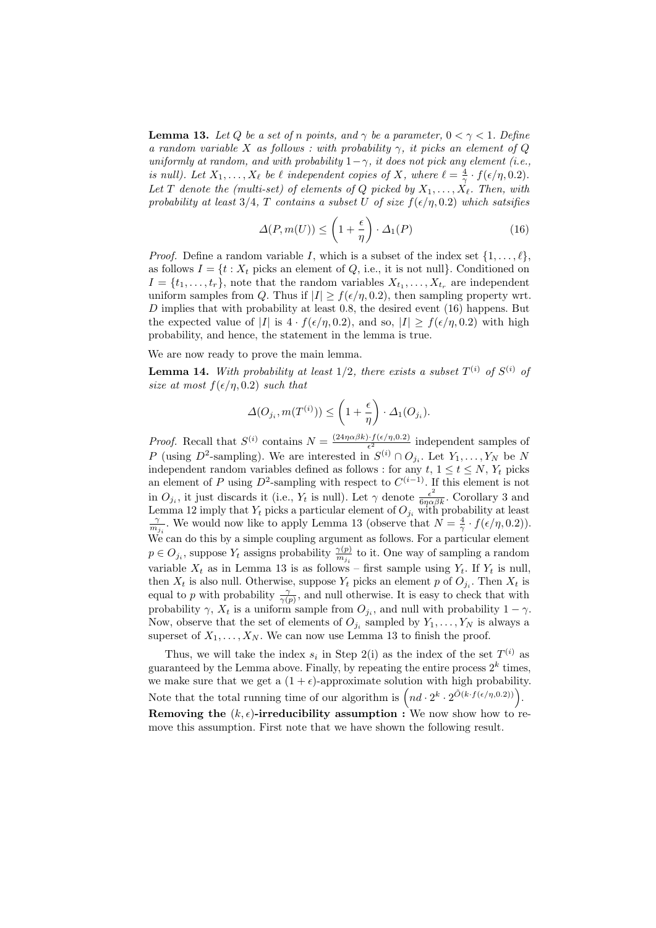**Lemma 13.** Let Q be a set of n points, and  $\gamma$  be a parameter,  $0 < \gamma < 1$ . Define a random variable X as follows: with probability  $\gamma$ , it picks an element of Q uniformly at random, and with probability  $1-\gamma$ , it does not pick any element (i.e., is null). Let  $X_1, \ldots, X_\ell$  be  $\ell$  independent copies of X, where  $\ell = \frac{4}{\gamma} \cdot f(\epsilon/\eta, 0.2)$ . Let T denote the (multi-set) of elements of Q picked by  $X_1, \ldots, X_\ell$ . Then, with probability at least 3/4, T contains a subset U of size  $f(\epsilon/\eta, 0.2)$  which satsifies

$$
\Delta(P, m(U)) \le \left(1 + \frac{\epsilon}{\eta}\right) \cdot \Delta_1(P) \tag{16}
$$

*Proof.* Define a random variable I, which is a subset of the index set  $\{1, \ldots, \ell\}$ , as follows  $I = \{t : X_t \text{ picks an element of } Q, \text{ i.e., it is not null}\}.$  Conditioned on  $I = \{t_1, \ldots, t_r\}$ , note that the random variables  $X_{t_1}, \ldots, X_{t_r}$  are independent uniform samples from Q. Thus if  $|I| \ge f(\epsilon/\eta, 0.2)$ , then sampling property wrt.  $D$  implies that with probability at least 0.8, the desired event (16) happens. But the expected value of |I| is  $4 \cdot f(\epsilon/\eta, 0.2)$ , and so,  $|I| \ge f(\epsilon/\eta, 0.2)$  with high probability, and hence, the statement in the lemma is true.

We are now ready to prove the main lemma.

**Lemma 14.** With probability at least  $1/2$ , there exists a subset  $T^{(i)}$  of  $S^{(i)}$  of size at most  $f(\epsilon/\eta, 0.2)$  such that

$$
\Delta(O_{j_i}, m(T^{(i)})) \le \left(1 + \frac{\epsilon}{\eta}\right) \cdot \Delta_1(O_{j_i}).
$$

*Proof.* Recall that  $S^{(i)}$  contains  $N = \frac{(24\eta\alpha\beta k) \cdot f(\epsilon/\eta, 0.2)}{\epsilon^2}$  $\frac{e^{i\theta} f(e/\eta,0.2)}{e^{2}}$  independent samples of P (using D<sup>2</sup>-sampling). We are interested in  $S^{(i)} \cap O_{j_i}$ . Let  $Y_1, \ldots, Y_N$  be N independent random variables defined as follows : for any  $t, 1 \le t \le N, Y_t$  picks an element of P using  $D^2$ -sampling with respect to  $C^{(i-1)}$ . If this element is not in  $O_{j_i}$ , it just discards it (i.e.,  $Y_t$  is null). Let  $\gamma$  denote  $\frac{\epsilon^2}{6\eta\alpha\beta k}$ . Corollary 3 and Lemma 12 imply that  $Y_t$  picks a particular element of  $O_{j_i}$  with probability at least  $\frac{\gamma}{m_{j_i}}$ . We would now like to apply Lemma 13 (observe that  $N = \frac{4}{\gamma} \cdot f(\epsilon/\eta, 0.2)$ ). We can do this by a simple coupling argument as follows. For a particular element  $p \in O_{j_i}$ , suppose  $Y_t$  assigns probability  $\frac{\gamma(p)}{m_{j_i}}$  to it. One way of sampling a random variable  $X_t$  as in Lemma 13 is as follows – first sample using  $Y_t$ . If  $Y_t$  is null, then  $X_t$  is also null. Otherwise, suppose  $Y_t$  picks an element p of  $O_{j_i}$ . Then  $X_t$  is equal to p with probability  $\frac{\gamma}{\gamma(p)}$ , and null otherwise. It is easy to check that with probability  $\gamma$ ,  $X_t$  is a uniform sample from  $O_{j_i}$ , and null with probability  $1 - \gamma$ . Now, observe that the set of elements of  $O_{j_i}$  sampled by  $Y_1, \ldots, Y_N$  is always a superset of  $X_1, \ldots, X_N$ . We can now use Lemma 13 to finish the proof.

Thus, we will take the index  $s_i$  in Step 2(i) as the index of the set  $T^{(i)}$  as guaranteed by the Lemma above. Finally, by repeating the entire process  $2^k$  times, we make sure that we get a  $(1 + \epsilon)$ -approximate solution with high probability. Note that the total running time of our algorithm is  $\left(nd \cdot 2^k \cdot 2^{\tilde{O}(k \cdot f(\epsilon/\eta, 0.2))}\right)$ . Removing the  $(k, \epsilon)$ -irreducibility assumption : We now show how to remove this assumption. First note that we have shown the following result.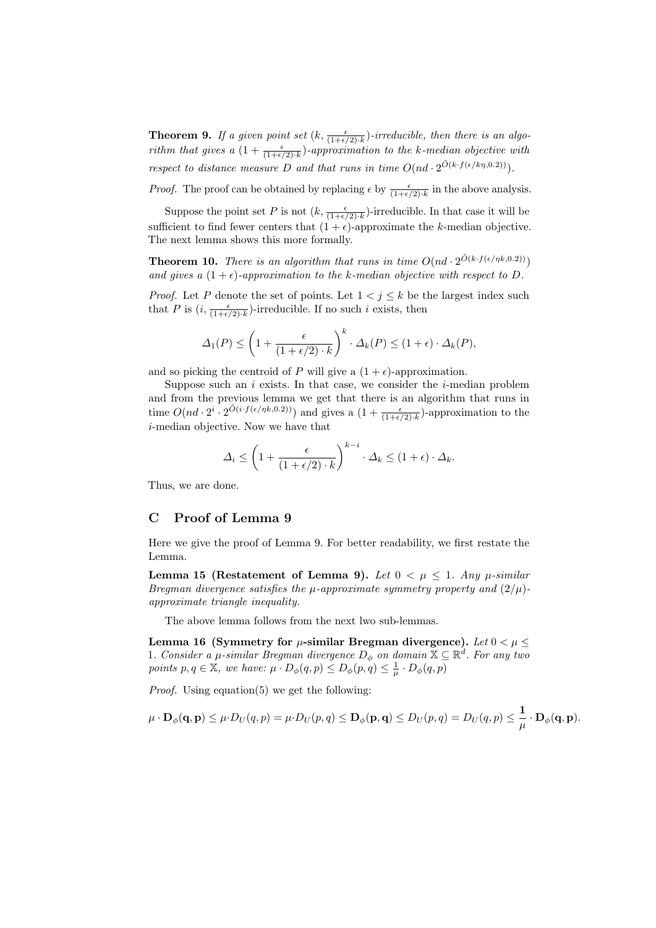**Theorem 9.** If a given point set  $(k, \frac{\epsilon}{(1+\epsilon/2) \cdot k})$ -irreducible, then there is an algorithm that gives a  $(1+\frac{\epsilon}{(1+\epsilon/2)\cdot k})$ -approximation to the k-median objective with respect to distance measure D and that runs in time  $O(nd \cdot 2^{\tilde{O}(k \cdot f(\epsilon/k\eta, 0.2)))})$ .

*Proof.* The proof can be obtained by replacing  $\epsilon$  by  $\frac{\epsilon}{(1+\epsilon/2)\cdot k}$  in the above analysis.

Suppose the point set P is not  $(k, \frac{\epsilon}{(1+\epsilon/2)\cdot k})$ -irreducible. In that case it will be sufficient to find fewer centers that  $(1 + \epsilon)$ -approximate the k-median objective. The next lemma shows this more formally.

**Theorem 10.** There is an algorithm that runs in time  $O(nd \cdot 2^{\tilde{O}(k \cdot f(\epsilon/\eta k, 0.2)))})$ and gives a  $(1 + \epsilon)$ -approximation to the k-median objective with respect to D.

*Proof.* Let P denote the set of points. Let  $1 \lt i \lt k$  be the largest index such that P is  $(i, \frac{\epsilon}{(1+\epsilon/2) \cdot k})$ -irreducible. If no such i exists, then

$$
\Delta_1(P) \le \left(1 + \frac{\epsilon}{(1 + \epsilon/2) \cdot k}\right)^k \cdot \Delta_k(P) \le (1 + \epsilon) \cdot \Delta_k(P),
$$

and so picking the centroid of P will give a  $(1 + \epsilon)$ -approximation.

Suppose such an  $i$  exists. In that case, we consider the  $i$ -median problem and from the previous lemma we get that there is an algorithm that runs in time  $O(nd \cdot 2^i \cdot 2^{\tilde{O}(i \cdot f(\epsilon/\eta k, 0.2)))}$  and gives a  $(1 + \frac{\epsilon}{(1+\epsilon/2) \cdot k})$ -approximation to the i-median objective. Now we have that

$$
\Delta_i \le \left(1 + \frac{\epsilon}{(1 + \epsilon/2) \cdot k}\right)^{k - i} \cdot \Delta_k \le (1 + \epsilon) \cdot \Delta_k.
$$

Thus, we are done.

## C Proof of Lemma 9

Here we give the proof of Lemma 9. For better readability, we first restate the Lemma.

Lemma 15 (Restatement of Lemma 9). Let  $0 < \mu \leq 1$ . Any  $\mu$ -similar Bregman divergence satisfies the  $\mu$ -approximate symmetry property and  $(2/\mu)$ approximate triangle inequality.

The above lemma follows from the next lwo sub-lemmas.

Lemma 16 (Symmetry for  $\mu$ -similar Bregman divergence). Let  $0 < \mu \leq$ 1. Consider a  $\mu$ -similar Bregman divergence  $D_{\phi}$  on domain  $\mathbb{X} \subseteq \mathbb{R}^{d}$ . For any two points  $p, q \in \mathbb{X}$ , we have:  $\mu \cdot D_{\phi}(q, p) \leq D_{\phi}(p, q) \leq \frac{1}{\mu} \cdot D_{\phi}(q, p)$ 

Proof. Using equation(5) we get the following:

$$
\mu \cdot \mathbf{D}_{\phi}(\mathbf{q}, \mathbf{p}) \leq \mu \cdot D_U(q, p) = \mu \cdot D_U(p, q) \leq \mathbf{D}_{\phi}(\mathbf{p}, \mathbf{q}) \leq D_U(p, q) = D_U(q, p) \leq \frac{1}{\mu} \cdot \mathbf{D}_{\phi}(\mathbf{q}, \mathbf{p}).
$$